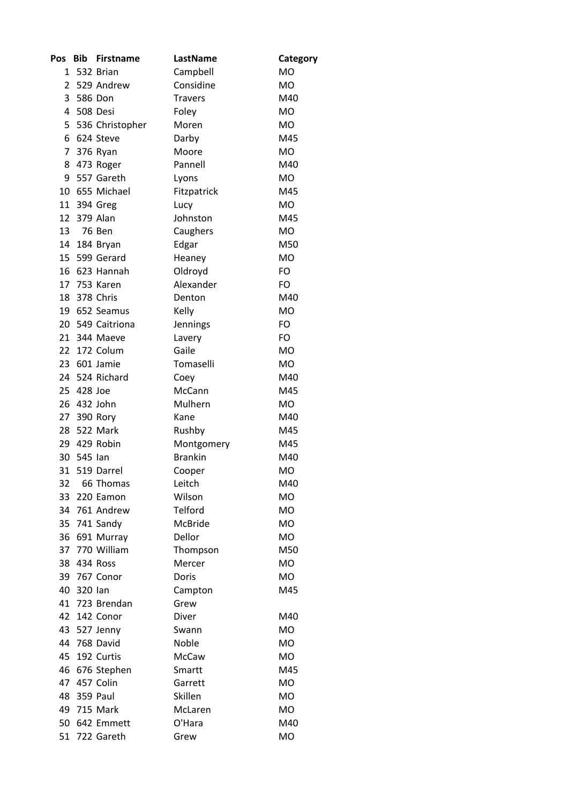| Pos   | <b>Bib</b>  | <b>Firstname</b>  | LastName       | Category  |
|-------|-------------|-------------------|----------------|-----------|
| $1\,$ |             | 532 Brian         | Campbell       | <b>MO</b> |
| 2     |             | 529 Andrew        | Considine      | <b>MO</b> |
|       | 3 586 Don   |                   | <b>Travers</b> | M40       |
|       | 4 508 Desi  |                   | Foley          | <b>MO</b> |
|       |             | 5 536 Christopher | Moren          | <b>MO</b> |
|       |             | 6 624 Steve       | Darby          | M45       |
|       |             | 7 376 Ryan        | Moore          | <b>MO</b> |
|       |             | 8 473 Roger       | Pannell        | M40       |
| 9     |             | 557 Gareth        | Lyons          | MO        |
| 10    |             | 655 Michael       | Fitzpatrick    | M45       |
|       |             | 11 394 Greg       | Lucy           | <b>MO</b> |
|       | 12 379 Alan |                   | Johnston       | M45       |
| 13    |             | 76 Ben            | Caughers       | <b>MO</b> |
|       |             | 14 184 Bryan      | Edgar          | M50       |
|       |             | 15 599 Gerard     | Heaney         | <b>MO</b> |
| 16    |             | 623 Hannah        | Oldroyd        | FO        |
|       |             | 17 753 Karen      | Alexander      | FO        |
| 18    |             | 378 Chris         | Denton         | M40       |
|       |             | 19 652 Seamus     | Kelly          | <b>MO</b> |
|       |             | 20 549 Caitriona  | Jennings       | FO        |
|       |             | 21 344 Maeve      | Lavery         | FO        |
|       |             | 22 172 Colum      | Gaile          | MO        |
|       |             | 23 601 Jamie      | Tomaselli      | MO        |
|       |             | 24 524 Richard    | Coey           | M40       |
|       | 25 428 Joe  |                   | McCann         | M45       |
| 26    |             | 432 John          | Mulhern        | MO        |
|       |             | 27 390 Rory       | Kane           | M40       |
| 28    |             | 522 Mark          | Rushby         | M45       |
|       |             | 29 429 Robin      | Montgomery     | M45       |
|       | 30 545 lan  |                   | <b>Brankin</b> | M40       |
|       |             | 31 519 Darrel     | Cooper         | <b>MO</b> |
| 32    |             | 66 Thomas         | Leitch         | M40       |
| 33    |             | 220 Eamon         | Wilson         | <b>MO</b> |
|       |             | 34 761 Andrew     | Telford        | MO        |
|       |             | 35 741 Sandy      | <b>McBride</b> | <b>MO</b> |
|       |             | 36 691 Murray     | Dellor         | <b>MO</b> |
|       |             | 37 770 William    | Thompson       | M50       |
|       | 38 434 Ross |                   | Mercer         | <b>MO</b> |
| 39    |             | 767 Conor         | Doris          | <b>MO</b> |
| 40    | 320 lan     |                   | Campton        | M45       |
|       |             | 41 723 Brendan    | Grew           |           |
|       |             | 42 142 Conor      | Diver          | M40       |
|       |             | 43 527 Jenny      | Swann          | <b>MO</b> |
| 44    |             | 768 David         | Noble          | <b>MO</b> |
| 45    |             | 192 Curtis        | McCaw          | <b>MO</b> |
| 46    |             | 676 Stephen       | Smartt         | M45       |
| 47    |             | 457 Colin         | Garrett        | <b>MO</b> |
|       | 48 359 Paul |                   | Skillen        | MO        |
|       |             | 49 715 Mark       | McLaren        | <b>MO</b> |
|       |             | 50 642 Emmett     | O'Hara         | M40       |
| 51    |             | 722 Gareth        | Grew           | MO        |
|       |             |                   |                |           |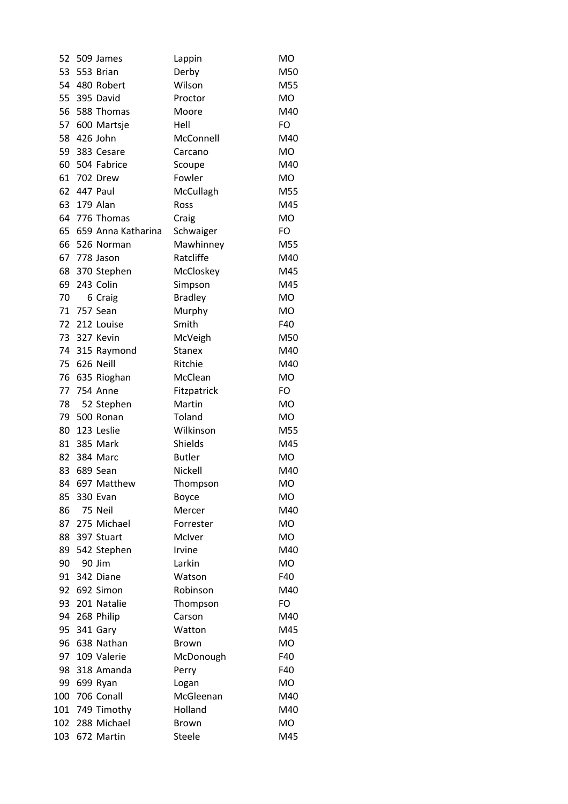| 52  | 509 James          | Lappin         | <b>MO</b> |
|-----|--------------------|----------------|-----------|
| 53  | 553 Brian          | Derby          | M50       |
|     | 54 480 Robert      | Wilson         | M55       |
| 55  | 395 David          | Proctor        | MO        |
| 56  | 588 Thomas         | Moore          | M40       |
| 57  | 600 Martsje        | Hell           | FO        |
| 58  | 426 John           | McConnell      | M40       |
| 59  | 383 Cesare         | Carcano        | MO        |
| 60  | 504 Fabrice        | Scoupe         | M40       |
| 61  | 702 Drew           | Fowler         | MO        |
| 62  | 447 Paul           | McCullagh      | M55       |
| 63  | 179 Alan           | Ross           | M45       |
| 64  | 776 Thomas         | Craig          | <b>MO</b> |
| 65  | 659 Anna Katharina | Schwaiger      | FO        |
|     | 66 526 Norman      | Mawhinney      | M55       |
| 67  | 778 Jason          | Ratcliffe      | M40       |
| 68  | 370 Stephen        | McCloskey      | M45       |
| 69  | 243 Colin          | Simpson        | M45       |
| 70  | 6 Craig            | <b>Bradley</b> | <b>MO</b> |
| 71  | 757 Sean           | Murphy         | MO        |
| 72  | 212 Louise         | Smith          | F40       |
| 73  | 327 Kevin          | McVeigh        | M50       |
| 74  | 315 Raymond        | <b>Stanex</b>  | M40       |
| 75  | 626 Neill          | Ritchie        | M40       |
| 76  | 635 Rioghan        | McClean        | <b>MO</b> |
| 77  | <b>754 Anne</b>    | Fitzpatrick    | FO        |
| 78  | 52 Stephen         | Martin         | MO        |
| 79  | 500 Ronan          | Toland         | MO        |
| 80  | 123 Leslie         | Wilkinson      | M55       |
| 81  | 385 Mark           | Shields        | M45       |
| 82  | 384 Marc           | <b>Butler</b>  | MO        |
| 83  | 689 Sean           | Nickell        | M40       |
| 84  | 697 Matthew        | Thompson       | МO        |
| 85  | 330 Evan           | Boyce          | MO        |
| 86  | 75 Neil            | Mercer         | M40       |
| 87  | 275 Michael        | Forrester      | MO        |
| 88  | 397 Stuart         | McIver         | <b>MO</b> |
| 89  | 542 Stephen        | Irvine         | M40       |
| 90  | 90 Jim             | Larkin         | <b>MO</b> |
| 91  | 342 Diane          | Watson         | F40       |
| 92  | 692 Simon          | Robinson       | M40       |
| 93  | 201 Natalie        | Thompson       | FO        |
| 94  | 268 Philip         | Carson         | M40       |
| 95  | 341 Gary           | Watton         | M45       |
| 96  | 638 Nathan         | <b>Brown</b>   | MO        |
| 97  | 109 Valerie        | McDonough      | F40       |
| 98  | 318 Amanda         | Perry          | F40       |
| 99  | 699 Ryan           | Logan          | MO        |
| 100 | 706 Conall         | McGleenan      | M40       |
| 101 | 749 Timothy        | Holland        | M40       |
| 102 | 288 Michael        | <b>Brown</b>   | MO        |
| 103 | 672 Martin         | Steele         | M45       |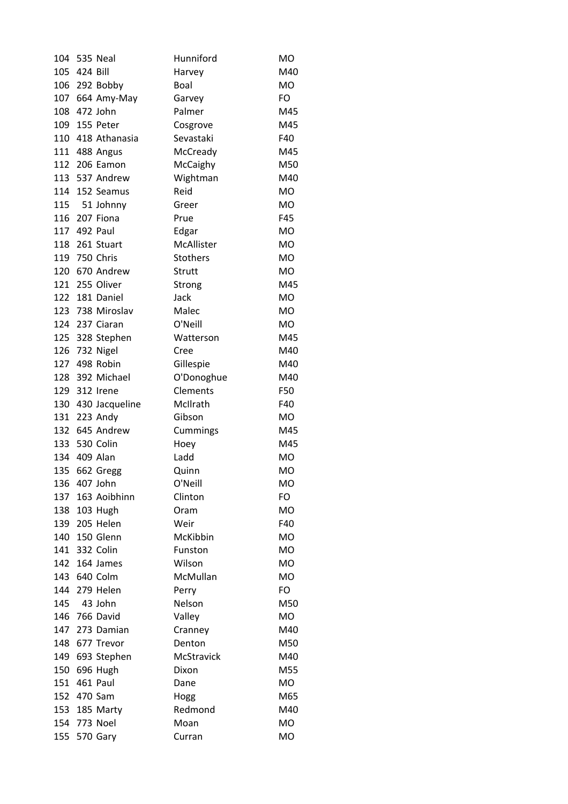| 104 |          | <b>535 Neal</b>    | Hunniford       | <b>MO</b> |
|-----|----------|--------------------|-----------------|-----------|
| 105 | 424 Bill |                    | Harvey          | M40       |
|     |          | 106 292 Bobby      | Boal            | MO        |
|     |          | 107 664 Amy-May    | Garvey          | FO        |
|     |          | 108 472 John       | Palmer          | M45       |
|     |          | 109 155 Peter      | Cosgrove        | M45       |
|     |          | 110 418 Athanasia  | Sevastaki       | F40       |
|     |          | 111 488 Angus      | McCready        | M45       |
|     |          | 112 206 Eamon      | McCaighy        | M50       |
|     |          | 113 537 Andrew     | Wightman        | M40       |
|     |          | 114 152 Seamus     | Reid            | <b>MO</b> |
| 115 |          | 51 Johnny          | Greer           | <b>MO</b> |
| 116 |          | 207 Fiona          | Prue            | F45       |
|     |          | 117 492 Paul       | Edgar           | MO        |
|     |          | 118 261 Stuart     | McAllister      | <b>MO</b> |
|     |          | 119 750 Chris      | <b>Stothers</b> | <b>MO</b> |
|     |          | 120 670 Andrew     | Strutt          | MO        |
|     |          | 121 255 Oliver     | Strong          | M45       |
|     |          | 122 181 Daniel     | Jack            | <b>MO</b> |
|     |          | 123 738 Miroslav   | Malec           | MO        |
|     |          | 124 237 Ciaran     | O'Neill         | MO        |
|     |          | 125 328 Stephen    | Watterson       | M45       |
| 126 |          | 732 Nigel          | Cree            | M40       |
| 127 |          | 498 Robin          | Gillespie       | M40       |
| 128 |          | 392 Michael        | O'Donoghue      | M40       |
|     |          | 129 312 Irene      | Clements        | F50       |
|     |          | 130 430 Jacqueline | McIlrath        | F40       |
|     |          | 131 223 Andy       | Gibson          | MO        |
| 132 |          | 645 Andrew         | Cummings        | M45       |
|     |          | 133 530 Colin      | Hoey            | M45       |
|     |          | 134 409 Alan       | Ladd            | MO        |
| 135 |          | 662 Gregg          | Quinn           | <b>MO</b> |
| 136 |          | 407 John           | O'Neill         | MO        |
| 137 |          | 163 Aoibhinn       | Clinton         | FO        |
|     |          | 138 103 Hugh       | Oram            | MO        |
| 139 |          | 205 Helen          | Weir            | F40       |
|     |          | 140 150 Glenn      | McKibbin        | <b>MO</b> |
| 141 |          | 332 Colin          | Funston         | MO        |
| 142 |          | 164 James          | Wilson          | MO        |
|     |          | 143 640 Colm       | McMullan        | <b>MO</b> |
| 144 |          | 279 Helen          | Perry           | FO        |
| 145 |          | 43 John            | Nelson          | M50       |
|     |          | 146 766 David      | Valley          | MO        |
| 147 |          | 273 Damian         | Cranney         | M40       |
| 148 |          | 677 Trevor         | Denton          | M50       |
| 149 |          | 693 Stephen        | McStravick      | M40       |
| 150 |          | 696 Hugh           | Dixon           | M55       |
| 151 |          | 461 Paul           | Dane            | MO        |
|     |          | 152 470 Sam        | Hogg            | M65       |
|     |          | 153 185 Marty      | Redmond         | M40       |
|     |          | 154 773 Noel       | Moan            | MO        |
| 155 |          | 570 Gary           | Curran          | MO        |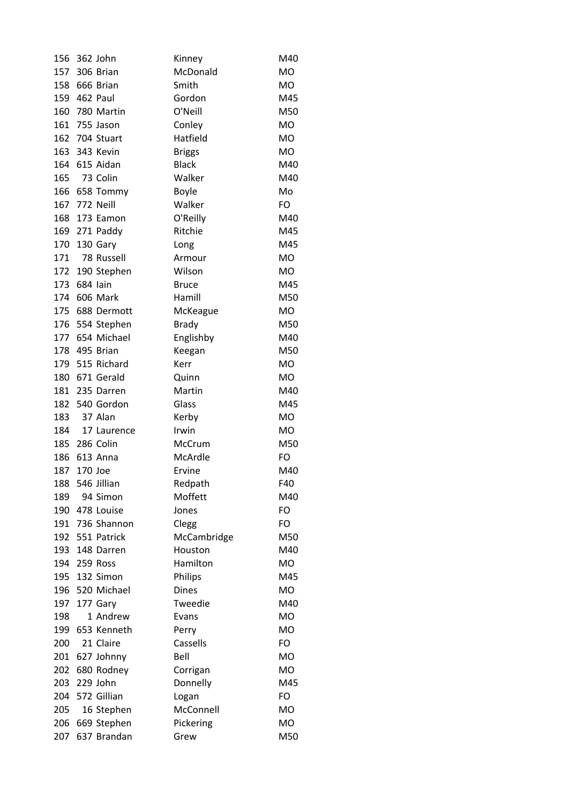| 156 |         | 362 John        | Kinney        | M40       |
|-----|---------|-----------------|---------------|-----------|
| 157 |         | 306 Brian       | McDonald      | MO        |
|     |         | 158 666 Brian   | Smith         | <b>MO</b> |
|     |         | 159 462 Paul    | Gordon        | M45       |
| 160 |         | 780 Martin      | O'Neill       | M50       |
| 161 |         | 755 Jason       | Conley        | <b>MO</b> |
| 162 |         | 704 Stuart      | Hatfield      | <b>MO</b> |
|     |         | 163 343 Kevin   | <b>Briggs</b> | MO        |
|     |         | 164 615 Aidan   | <b>Black</b>  | M40       |
| 165 |         | 73 Colin        | Walker        | M40       |
| 166 |         | 658 Tommy       | Boyle         | Mo        |
| 167 |         | 772 Neill       | Walker        | FO        |
| 168 |         | 173 Eamon       | O'Reilly      | M40       |
|     |         | 169 271 Paddy   | Ritchie       | M45       |
|     |         | 170 130 Gary    | Long          | M45       |
| 171 |         | 78 Russell      | Armour        | <b>MO</b> |
| 172 |         | 190 Stephen     | Wilson        | MO        |
| 173 |         | 684 lain        | <b>Bruce</b>  | M45       |
|     |         | 174 606 Mark    | Hamill        | M50       |
|     |         | 175 688 Dermott | McKeague      | MO        |
| 176 |         | 554 Stephen     | <b>Brady</b>  | M50       |
|     |         | 177 654 Michael | Englishby     | M40       |
|     |         | 178 495 Brian   | Keegan        | M50       |
| 179 |         | 515 Richard     | Kerr          | <b>MO</b> |
| 180 |         | 671 Gerald      | Quinn         | <b>MO</b> |
| 181 |         | 235 Darren      | Martin        | M40       |
| 182 |         | 540 Gordon      | Glass         | M45       |
| 183 |         | 37 Alan         | Kerby         | <b>MO</b> |
| 184 |         | 17 Laurence     | Irwin         | MO        |
|     |         | 185 286 Colin   | McCrum        | M50       |
| 186 |         | 613 Anna        | McArdle       | FO        |
| 187 | 170 Joe |                 | Ervine        | M40       |
| 188 |         | 546 Jillian     | Redpath       | F40       |
| 189 |         | 94 Simon        | Moffett       | M40       |
| 190 |         | 478 Louise      | Jones         | FO        |
| 191 |         | 736 Shannon     | Clegg         | FO        |
|     |         | 192 551 Patrick | McCambridge   | M50       |
| 193 |         | 148 Darren      | Houston       | M40       |
|     |         | 194 259 Ross    | Hamilton      | <b>MO</b> |
|     |         | 195 132 Simon   | Philips       | M45       |
| 196 |         | 520 Michael     | <b>Dines</b>  | <b>MO</b> |
| 197 |         | 177 Gary        | Tweedie       | M40       |
| 198 |         | 1 Andrew        | Evans         | <b>MO</b> |
| 199 |         | 653 Kenneth     | Perry         | <b>MO</b> |
| 200 |         | 21 Claire       | Cassells      | FO        |
| 201 |         | 627 Johnny      | Bell          | <b>MO</b> |
| 202 |         | 680 Rodney      | Corrigan      | <b>MO</b> |
| 203 |         | 229 John        | Donnelly      | M45       |
|     |         | 204 572 Gillian | Logan         | FO        |
| 205 |         | 16 Stephen      | McConnell     | <b>MO</b> |
| 206 |         | 669 Stephen     | Pickering     | MO        |
| 207 |         | 637 Brandan     | Grew          | M50       |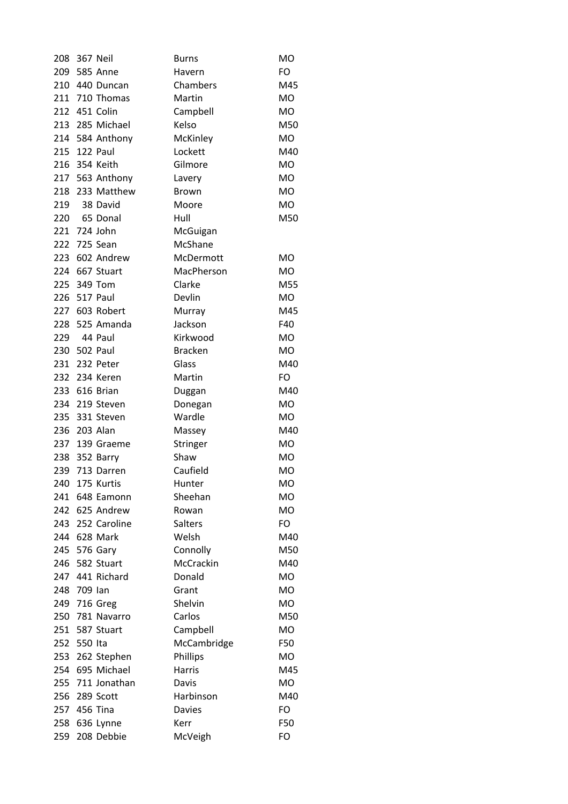| 208 |              | <b>367 Neil</b>  | <b>Burns</b>   | <b>MO</b> |
|-----|--------------|------------------|----------------|-----------|
|     |              | 209 585 Anne     | Havern         | FO        |
|     |              | 210 440 Duncan   | Chambers       | M45       |
|     |              | 211 710 Thomas   | Martin         | MO        |
|     |              | 212 451 Colin    | Campbell       | <b>MO</b> |
|     |              | 213 285 Michael  | Kelso          | M50       |
|     |              | 214 584 Anthony  | McKinley       | MO        |
|     | 215 122 Paul |                  | Lockett        | M40       |
|     |              | 216 354 Keith    | Gilmore        | <b>MO</b> |
|     |              | 217 563 Anthony  | Lavery         | <b>MO</b> |
| 218 |              | 233 Matthew      | Brown          | <b>MO</b> |
| 219 |              | 38 David         | Moore          | <b>MO</b> |
| 220 |              | 65 Donal         | Hull           | M50       |
| 221 |              | 724 John         | McGuigan       |           |
|     |              | 222 725 Sean     | McShane        |           |
|     |              | 223 602 Andrew   | McDermott      | <b>MO</b> |
| 224 |              | 667 Stuart       | MacPherson     | <b>MO</b> |
| 225 |              | 349 Tom          | Clarke         | M55       |
| 226 |              | 517 Paul         | Devlin         | MO        |
| 227 |              | 603 Robert       | Murray         | M45       |
|     |              | 228 525 Amanda   | Jackson        | F40       |
|     |              | 229 44 Paul      | Kirkwood       | <b>MO</b> |
|     | 230 502 Paul |                  | <b>Bracken</b> | MO        |
| 231 |              | 232 Peter        | Glass          | M40       |
|     |              | 232 234 Keren    | Martin         | FO        |
|     |              | 233 616 Brian    | Duggan         | M40       |
|     |              | 234 219 Steven   | Donegan        | MO        |
|     |              | 235 331 Steven   | Wardle         | MO        |
|     |              | 236 203 Alan     | Massey         | M40       |
| 237 |              | 139 Graeme       | Stringer       | <b>MO</b> |
|     |              | 238 352 Barry    | Shaw           | <b>MO</b> |
| 239 |              | 713 Darren       | Caufield       | <b>MO</b> |
| 240 |              | 175 Kurtis       | Hunter         | МO        |
| 241 |              | 648 Eamonn       | Sheehan        | <b>MO</b> |
|     |              | 242 625 Andrew   | Rowan          | MO        |
|     |              | 243 252 Caroline | Salters        | FO        |
|     |              | 244 628 Mark     | Welsh          | M40       |
|     |              | 245 576 Gary     | Connolly       | M50       |
| 246 |              | 582 Stuart       | McCrackin      | M40       |
|     |              | 247 441 Richard  | Donald         | <b>MO</b> |
|     | 248 709 lan  |                  | Grant          | <b>MO</b> |
|     |              | 249 716 Greg     | Shelvin        | MO        |
|     |              | 250 781 Navarro  | Carlos         | M50       |
|     |              | 251 587 Stuart   | Campbell       | MO        |
| 252 | 550 Ita      |                  | McCambridge    | F50       |
|     |              | 253 262 Stephen  | Phillips       | <b>MO</b> |
|     |              | 254 695 Michael  | Harris         | M45       |
|     |              | 255 711 Jonathan | Davis          | MO        |
|     |              | 256 289 Scott    | Harbinson      | M40       |
|     | 257 456 Tina |                  | <b>Davies</b>  | FO        |
| 258 |              | 636 Lynne        | Kerr           | F50       |
| 259 |              | 208 Debbie       | McVeigh        | FO        |
|     |              |                  |                |           |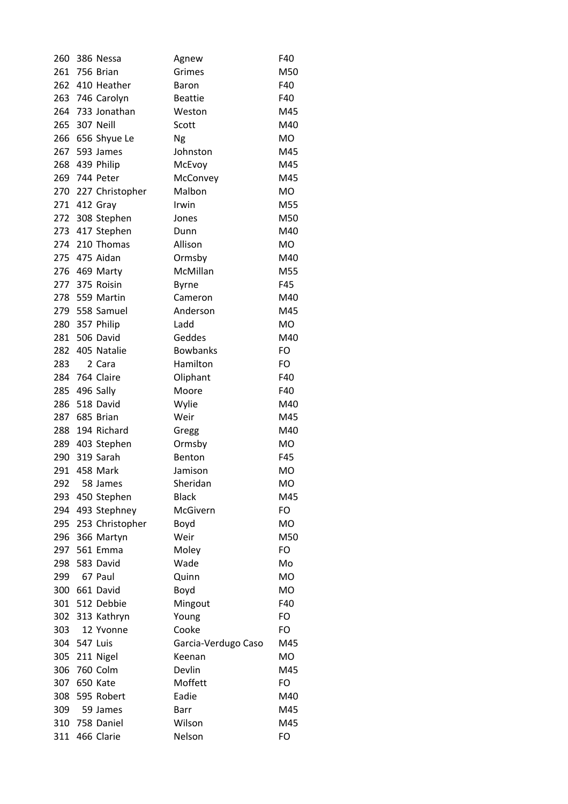| 260 |              | 386 Nessa           | Agnew               | F40       |
|-----|--------------|---------------------|---------------------|-----------|
| 261 |              | 756 Brian           | Grimes              | M50       |
|     |              | 262 410 Heather     | Baron               | F40       |
|     |              | 263 746 Carolyn     | <b>Beattie</b>      | F40       |
|     |              | 264 733 Jonathan    | Weston              | M45       |
| 265 |              | 307 Neill           | Scott               | M40       |
| 266 |              | 656 Shyue Le        | Ng                  | MO        |
| 267 |              | 593 James           | Johnston            | M45       |
|     |              | 268 439 Philip      | McEvoy              | M45       |
|     |              | 269 744 Peter       | McConvey            | M45       |
|     |              | 270 227 Christopher | Malbon              | MO        |
| 271 |              | 412 Gray            | Irwin               | M55       |
| 272 |              | 308 Stephen         | Jones               | M50       |
|     |              | 273 417 Stephen     | Dunn                | M40       |
|     |              | 274 210 Thomas      | Allison             | <b>MO</b> |
|     |              | 275 475 Aidan       | Ormsby              | M40       |
|     |              | 276 469 Marty       | McMillan            | M55       |
| 277 |              | 375 Roisin          | <b>Byrne</b>        | F45       |
|     |              | 278 559 Martin      | Cameron             | M40       |
|     |              | 279 558 Samuel      | Anderson            | M45       |
|     |              | 280 357 Philip      | Ladd                | MO        |
| 281 |              | 506 David           | Geddes              | M40       |
| 282 |              | 405 Natalie         | <b>Bowbanks</b>     | FO        |
| 283 |              | 2 Cara              | Hamilton            | FO        |
|     |              | 284 764 Claire      | Oliphant            | F40       |
| 285 |              | 496 Sally           | Moore               | F40       |
| 286 |              | 518 David           | Wylie               | M40       |
| 287 |              | 685 Brian           | Weir                | M45       |
| 288 |              | 194 Richard         | Gregg               | M40       |
|     |              | 289 403 Stephen     | Ormsby              | <b>MO</b> |
|     |              | 290 319 Sarah       | Benton              | F45       |
| 291 |              | 458 Mark            | Jamison             | MO        |
| 292 |              | 58 James            | Sheridan            | <b>MO</b> |
| 293 |              | 450 Stephen         | <b>Black</b>        | M45       |
| 294 |              | 493 Stephney        | McGivern            | FO        |
|     |              | 295 253 Christopher | Boyd                | MO        |
| 296 |              | 366 Martyn          | Weir                | M50       |
|     |              | 297 561 Emma        | Moley               | FO        |
| 298 |              | 583 David           | Wade                | Mo        |
| 299 |              | 67 Paul             | Quinn               | <b>MO</b> |
| 300 |              | 661 David           | Boyd                | MO        |
|     |              | 301 512 Debbie      | Mingout             | F40       |
|     |              | 302 313 Kathryn     | Young               | FO        |
| 303 |              | 12 Yvonne           | Cooke               | FO        |
|     | 304 547 Luis |                     | Garcia-Verdugo Caso | M45       |
|     |              | 305 211 Nigel       | Keenan              | <b>MO</b> |
| 306 |              | 760 Colm            | Devlin              | M45       |
| 307 |              | 650 Kate            | Moffett             | FO        |
| 308 |              | 595 Robert          | Eadie               | M40       |
| 309 |              | 59 James            | Barr                | M45       |
| 310 |              | 758 Daniel          | Wilson              | M45       |
| 311 |              | 466 Clarie          | Nelson              | FO        |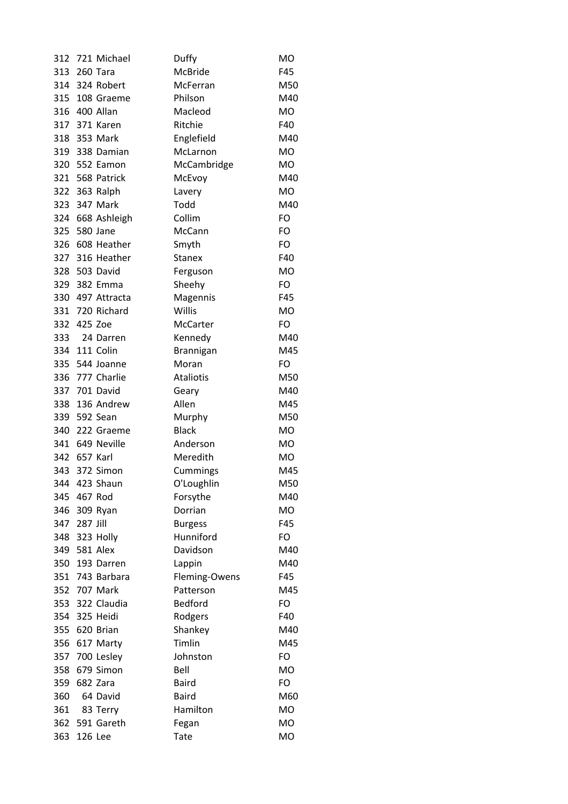| 312 |              | 721 Michael      | Duffy            | MO        |
|-----|--------------|------------------|------------------|-----------|
| 313 |              | 260 Tara         | McBride          | F45       |
|     |              | 314 324 Robert   | McFerran         | M50       |
|     |              | 315 108 Graeme   | Philson          | M40       |
|     |              | 316 400 Allan    | Macleod          | <b>MO</b> |
| 317 |              | 371 Karen        | Ritchie          | F40       |
|     |              | 318 353 Mark     | Englefield       | M40       |
|     |              | 319 338 Damian   | McLarnon         | MO        |
|     |              | 320 552 Eamon    | McCambridge      | <b>MO</b> |
|     |              | 321 568 Patrick  | McEvoy           | M40       |
|     |              | 322 363 Ralph    | Lavery           | <b>MO</b> |
| 323 |              | 347 Mark         | Todd             | M40       |
|     |              | 324 668 Ashleigh | Collim           | FO        |
|     |              | 325 580 Jane     | McCann           | FO        |
|     |              | 326 608 Heather  | Smyth            | FO        |
|     |              | 327 316 Heather  | <b>Stanex</b>    | F40       |
|     |              | 328 503 David    | Ferguson         | MO        |
|     |              | 329 382 Emma     | Sheehy           | FO        |
|     |              | 330 497 Attracta | Magennis         | F45       |
|     |              | 331 720 Richard  | Willis           | MO        |
|     | 332 425 Zoe  |                  | McCarter         | FO        |
| 333 |              | 24 Darren        | Kennedy          | M40       |
|     |              | 334 111 Colin    | Brannigan        | M45       |
| 335 |              | 544 Joanne       | Moran            | FO        |
| 336 |              | 777 Charlie      | <b>Ataliotis</b> | M50       |
|     |              | 337 701 David    | Geary            | M40       |
| 338 |              | 136 Andrew       | Allen            | M45       |
|     |              | 339 592 Sean     | Murphy           | M50       |
| 340 |              | 222 Graeme       | <b>Black</b>     | <b>MO</b> |
|     |              | 341 649 Neville  | Anderson         | <b>MO</b> |
|     | 342 657 Karl |                  | Meredith         | MO        |
| 343 |              | 372 Simon        | Cummings         | M45       |
| 344 |              | 423 Shaun        | O'Loughlin       | M50       |
|     | 345 467 Rod  |                  | Forsythe         | M40       |
| 346 |              | 309 Ryan         | Dorrian          | MO        |
| 347 | 287 Jill     |                  | <b>Burgess</b>   | F45       |
|     |              | 348 323 Holly    | Hunniford        | FO        |
|     |              | 349 581 Alex     | Davidson         | M40       |
| 350 |              | 193 Darren       | Lappin           | M40       |
| 351 |              | 743 Barbara      | Fleming-Owens    | F45       |
|     |              | 352 707 Mark     | Patterson        | M45       |
|     |              | 353 322 Claudia  | <b>Bedford</b>   | FO        |
|     |              | 354 325 Heidi    | Rodgers          | F40       |
|     |              | 355 620 Brian    | Shankey          | M40       |
|     |              | 356 617 Marty    | Timlin           | M45       |
| 357 |              | 700 Lesley       | Johnston         | FO        |
| 358 |              | 679 Simon        | Bell             | <b>MO</b> |
| 359 |              | 682 Zara         | <b>Baird</b>     | FO        |
| 360 |              | 64 David         | <b>Baird</b>     | M60       |
| 361 |              | 83 Terry         | Hamilton         | <b>MO</b> |
| 362 |              | 591 Gareth       | Fegan            | MO        |
| 363 | 126 Lee      |                  | Tate             | MO        |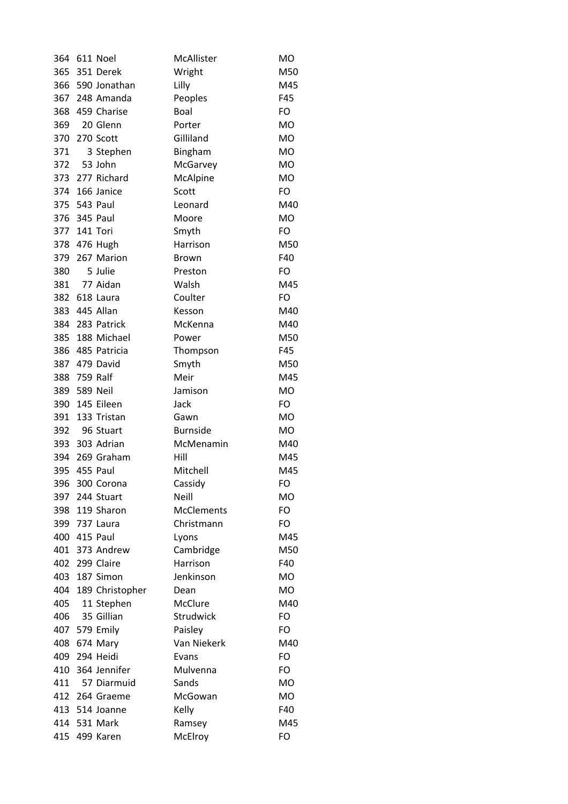| 364 |              | 611 Noel            | McAllister        | <b>MO</b> |
|-----|--------------|---------------------|-------------------|-----------|
|     |              | 365 351 Derek       | Wright            | M50       |
|     |              | 366 590 Jonathan    | Lilly             | M45       |
|     |              | 367 248 Amanda      | Peoples           | F45       |
|     |              | 368 459 Charise     | Boal              | FO        |
| 369 |              | 20 Glenn            | Porter            | <b>MO</b> |
|     |              | 370 270 Scott       | Gilliland         | <b>MO</b> |
| 371 |              | 3 Stephen           | Bingham           | <b>MO</b> |
| 372 |              | 53 John             | McGarvey          | <b>MO</b> |
|     |              | 373 277 Richard     | McAlpine          | <b>MO</b> |
|     |              | 374 166 Janice      | Scott             | FO        |
|     |              | 375 543 Paul        | Leonard           | M40       |
|     |              | 376 345 Paul        | Moore             | <b>MO</b> |
|     | 377 141 Tori |                     | Smyth             | FO        |
|     |              | 378 476 Hugh        | Harrison          | M50       |
|     |              | 379 267 Marion      | <b>Brown</b>      | F40       |
| 380 |              | 5 Julie             | Preston           | FO        |
| 381 |              | 77 Aidan            | Walsh             | M45       |
|     |              | 382 618 Laura       | Coulter           | FO        |
|     |              | 383 445 Allan       | Kesson            | M40       |
|     |              | 384 283 Patrick     | McKenna           | M40       |
|     |              | 385 188 Michael     | Power             | M50       |
|     |              | 386 485 Patricia    | Thompson          | F45       |
| 387 |              | 479 David           | Smyth             | M50       |
|     | 388 759 Ralf |                     | Meir              | M45       |
|     | 389 589 Neil |                     | Jamison           | <b>MO</b> |
| 390 |              | 145 Eileen          | Jack              | FO        |
| 391 |              | 133 Tristan         | Gawn              | MO        |
| 392 |              | 96 Stuart           | <b>Burnside</b>   | MO        |
|     |              | 393 303 Adrian      | McMenamin         | M40       |
|     |              | 394 269 Graham      | Hill              | M45       |
| 395 |              | 455 Paul            | Mitchell          | M45       |
| 396 |              | 300 Corona          | Cassidy           | FO        |
|     |              | 397 244 Stuart      | <b>Neill</b>      | <b>MO</b> |
|     |              | 398 119 Sharon      | <b>McClements</b> | FO        |
|     |              | 399 737 Laura       | Christmann        | FO        |
|     |              | 400 415 Paul        | Lyons             | M45       |
|     |              | 401 373 Andrew      | Cambridge         | M50       |
| 402 |              | 299 Claire          | Harrison          | F40       |
|     |              | 403 187 Simon       | Jenkinson         | <b>MO</b> |
|     |              | 404 189 Christopher | Dean              | <b>MO</b> |
| 405 |              | 11 Stephen          | McClure           | M40       |
| 406 |              | 35 Gillian          | Strudwick         | FO        |
|     |              | 407 579 Emily       | Paisley           | FO        |
| 408 |              | 674 Mary            | Van Niekerk       | M40       |
| 409 |              | 294 Heidi           | Evans             | FO        |
| 410 |              | 364 Jennifer        | Mulvenna          | FO        |
| 411 |              | 57 Diarmuid         | Sands             | MO        |
|     |              | 412 264 Graeme      | McGowan           | MO        |
|     |              | 413 514 Joanne      | Kelly             | F40       |
|     |              | 414 531 Mark        | Ramsey            | M45       |
| 415 |              | 499 Karen           | McElroy           | FO        |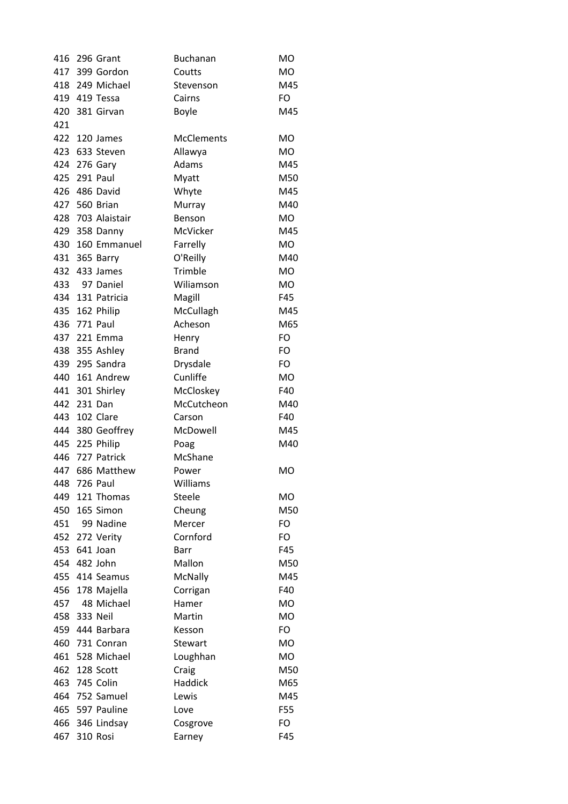| 416        |              | 296 Grant              | <b>Buchanan</b>   | <b>MO</b> |
|------------|--------------|------------------------|-------------------|-----------|
|            |              | 417 399 Gordon         | Coutts            | MO        |
|            |              | 418 249 Michael        | Stevenson         | M45       |
|            |              | 419 419 Tessa          | Cairns            | FO        |
|            |              | 420 381 Girvan         | <b>Boyle</b>      | M45       |
| 421        |              |                        |                   |           |
|            |              | 422 120 James          | <b>McClements</b> | МO        |
|            |              | 423 633 Steven         | Allawya           | MO        |
|            |              | 424 276 Gary           | Adams             | M45       |
|            |              | 425 291 Paul           | Myatt             | M50       |
|            |              | 426 486 David          | Whyte             | M45       |
|            |              | 427 560 Brian          | Murray            | M40       |
|            |              | 428 703 Alaistair      | Benson            | MO.       |
|            |              | 429 358 Danny          | McVicker          | M45       |
|            |              | 430 160 Emmanuel       | Farrelly          | MO        |
| 431        |              | 365 Barry              | O'Reilly          | M40       |
|            |              | 432 433 James          | Trimble           | <b>MO</b> |
| 433        |              | 97 Daniel              | Wiliamson         | <b>MO</b> |
|            |              | 434 131 Patricia       | Magill            | F45       |
|            |              | 435 162 Philip         | McCullagh         | M45       |
|            |              | 436 771 Paul           | Acheson           | M65       |
|            |              | 437 221 Emma           | Henry             | FO        |
|            |              | 438 355 Ashley         | <b>Brand</b>      | FO        |
|            |              | 439 295 Sandra         | Drysdale          | FO        |
|            |              | 440 161 Andrew         | Cunliffe          | <b>MO</b> |
|            |              | 441 301 Shirley        | McCloskey         | F40       |
|            | 442 231 Dan  |                        | McCutcheon        | M40       |
|            |              | 443 102 Clare          | Carson            | F40       |
|            |              | 444 380 Geoffrey       | McDowell          | M45       |
|            |              | 445 225 Philip         |                   | M40       |
|            |              | 446 727 Patrick        | Poag<br>McShane   |           |
|            |              | 447 686 Matthew        | Power             | <b>MO</b> |
|            |              |                        | Williams          |           |
| 448<br>449 |              | 726 Paul<br>121 Thomas | <b>Steele</b>     | MO        |
| 450        |              | 165 Simon              |                   | M50       |
|            |              | 99 Nadine              | Cheung<br>Mercer  | FO        |
| 451        |              |                        |                   |           |
|            |              | 452 272 Verity         | Cornford          | FO        |
| 453        |              | 641 Joan               | Barr              | F45       |
|            |              | 454 482 John           | Mallon            | M50       |
| 455        |              | 414 Seamus             | McNally           | M45       |
| 456        |              | 178 Majella            | Corrigan          | F40       |
| 457        |              | 48 Michael             | Hamer             | <b>MO</b> |
|            | 458 333 Neil |                        | Martin            | <b>MO</b> |
|            |              | 459 444 Barbara        | Kesson            | FO        |
| 460        |              | 731 Conran             | Stewart           | <b>MO</b> |
| 461        |              | 528 Michael            | Loughhan          | <b>MO</b> |
| 462        |              | 128 Scott              | Craig             | M50       |
|            |              | 463 745 Colin          | Haddick           | M65       |
|            |              | 464 752 Samuel         | Lewis             | M45       |
|            |              | 465 597 Pauline        | Love              | F55       |
| 466        |              | 346 Lindsay            | Cosgrove          | FO        |
| 467        |              | 310 Rosi               | Earney            | F45       |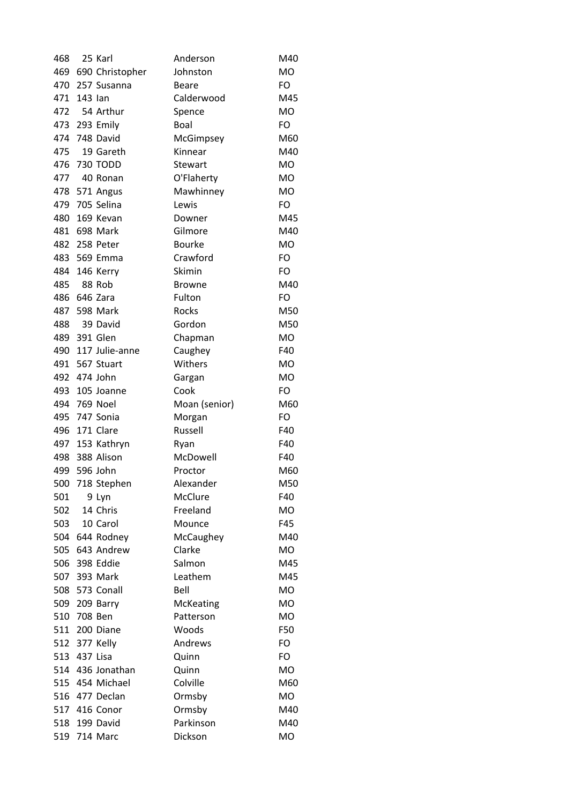| 468 |             | 25 Karl             | Anderson       | M40       |
|-----|-------------|---------------------|----------------|-----------|
|     |             | 469 690 Christopher | Johnston       | <b>MO</b> |
|     |             | 470 257 Susanna     | <b>Beare</b>   | FO        |
| 471 | 143 lan     |                     | Calderwood     | M45       |
| 472 |             | 54 Arthur           | Spence         | <b>MO</b> |
|     |             | 473 293 Emily       | Boal           | FO        |
|     |             | 474 748 David       | McGimpsey      | M60       |
| 475 |             | 19 Gareth           | Kinnear        | M40       |
|     |             | 476 730 TODD        | <b>Stewart</b> | <b>MO</b> |
|     |             | 477 40 Ronan        | O'Flaherty     | <b>MO</b> |
|     |             | 478 571 Angus       | Mawhinney      | <b>MO</b> |
|     |             | 479 705 Selina      | Lewis          | FO        |
| 480 |             | 169 Kevan           | Downer         | M45       |
| 481 |             | 698 Mark            | Gilmore        | M40       |
|     |             | 482 258 Peter       | <b>Bourke</b>  | <b>MO</b> |
|     |             | 483 569 Emma        | Crawford       | FO        |
|     |             | 484 146 Kerry       | Skimin         | FO        |
| 485 |             | 88 Rob              | <b>Browne</b>  | M40       |
|     |             | 486 646 Zara        | Fulton         | FO        |
| 487 |             | 598 Mark            | Rocks          | M50       |
| 488 |             | 39 David            | Gordon         | M50       |
|     |             | 489 391 Glen        | Chapman        | <b>MO</b> |
| 490 |             | 117 Julie-anne      | Caughey        | F40       |
|     |             | 491 567 Stuart      | Withers        | MO        |
|     |             | 492 474 John        | Gargan         | <b>MO</b> |
| 493 |             | 105 Joanne          | Cook           | FO        |
|     |             | 494 769 Noel        | Moan (senior)  | M60       |
|     |             | 495 747 Sonia       | Morgan         | FO        |
| 496 |             | 171 Clare           | Russell        | F40       |
|     |             | 497 153 Kathryn     | Ryan           | F40       |
|     |             | 498 388 Alison      | McDowell       | F40       |
|     |             | 499 596 John        | Proctor        | M60       |
| 500 |             | 718 Stephen         | Alexander      | M50       |
| 501 |             | 9 Lyn               | McClure        | F40       |
| 502 |             | 14 Chris            | Freeland       | MO        |
| 503 |             | 10 Carol            | Mounce         | F45       |
|     |             | 504 644 Rodney      | McCaughey      | M40       |
|     |             | 505 643 Andrew      | Clarke         | MO        |
| 506 |             | 398 Eddie           | Salmon         | M45       |
| 507 |             | 393 Mark            | Leathem        | M45       |
| 508 |             | 573 Conall          | Bell           | <b>MO</b> |
|     |             | 509 209 Barry       | McKeating      | <b>MO</b> |
|     | 510 708 Ben |                     | Patterson      | MO        |
|     |             | 511 200 Diane       | Woods          | F50       |
| 512 |             |                     |                | FO        |
|     | 377 Kelly   |                     | Andrews        |           |
| 513 | 437 Lisa    |                     | Quinn          | FO        |
|     |             | 514 436 Jonathan    | Quinn          | <b>MO</b> |
|     |             | 515 454 Michael     | Colville       | M60       |
|     |             | 516 477 Declan      | Ormsby         | MO        |
|     |             | 517 416 Conor       | Ormsby         | M40       |
|     |             | 518 199 David       | Parkinson      | M40       |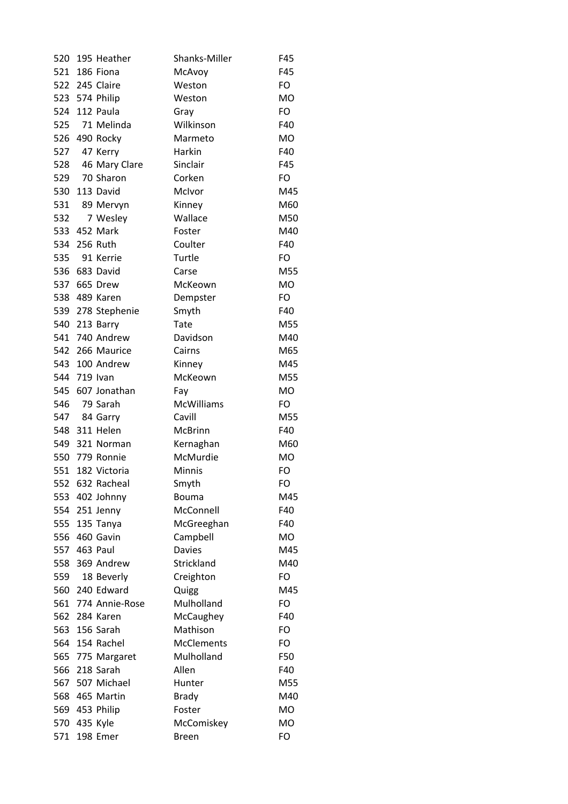| 520 |              | 195 Heather        | Shanks-Miller     | F45       |
|-----|--------------|--------------------|-------------------|-----------|
| 521 |              | 186 Fiona          | McAvoy            | F45       |
|     |              | 522 245 Claire     | Weston            | FO        |
|     |              | 523 574 Philip     | Weston            | <b>MO</b> |
| 524 |              | 112 Paula          | Gray              | FO        |
| 525 |              | 71 Melinda         | Wilkinson         | F40       |
| 526 |              | 490 Rocky          | Marmeto           | <b>MO</b> |
| 527 |              | 47 Kerry           | Harkin            | F40       |
|     |              | 528 46 Mary Clare  | Sinclair          | F45       |
| 529 |              | 70 Sharon          | Corken            | FO        |
| 530 |              | 113 David          | McIvor            | M45       |
| 531 |              | 89 Mervyn          | Kinney            | M60       |
| 532 |              | 7 Wesley           | Wallace           | M50       |
|     |              | 533 452 Mark       | Foster            | M40       |
|     |              | 534 256 Ruth       | Coulter           | F40       |
| 535 |              | 91 Kerrie          | Turtle            | FO        |
| 536 |              | 683 David          | Carse             | M55       |
| 537 |              | 665 Drew           | McKeown           | <b>MO</b> |
| 538 |              | 489 Karen          | Dempster          | FO        |
|     |              | 539 278 Stephenie  | Smyth             | F40       |
|     |              | 540 213 Barry      | Tate              | M55       |
|     |              | 541 740 Andrew     | Davidson          | M40       |
|     |              | 542 266 Maurice    | Cairns            | M65       |
| 543 |              | 100 Andrew         | Kinney            | M45       |
|     | 544 719 Ivan |                    | McKeown           | M55       |
|     |              | 545 607 Jonathan   | Fay               | <b>MO</b> |
| 546 |              | 79 Sarah           | <b>McWilliams</b> | FO        |
| 547 |              | 84 Garry           | Cavill            | M55       |
|     |              | 548 311 Helen      | McBrinn           | F40       |
|     |              | 549 321 Norman     | Kernaghan         | M60       |
|     |              | 550 779 Ronnie     | McMurdie          | <b>MO</b> |
| 551 |              | 182 Victoria       | Minnis            | FO        |
| 552 |              | 632 Racheal        | Smyth             | FO        |
| 553 |              | 402 Johnny         | <b>Bouma</b>      | M45       |
| 554 |              | 251 Jenny          | McConnell         | F40       |
|     |              | 555 135 Tanya      | McGreeghan        | F40       |
| 556 |              | 460 Gavin          | Campbell          | <b>MO</b> |
|     |              | 557 463 Paul       | <b>Davies</b>     | M45       |
| 558 |              | 369 Andrew         | Strickland        | M40       |
| 559 |              | 18 Beverly         | Creighton         | FO        |
|     |              | 560 240 Edward     | Quigg             | M45       |
|     |              | 561 774 Annie-Rose | Mulholland        | FO        |
|     |              | 562 284 Karen      | McCaughey         | F40       |
|     |              | 563 156 Sarah      | Mathison          | FO        |
|     |              | 564 154 Rachel     | <b>McClements</b> | FO        |
| 565 |              | 775 Margaret       | Mulholland        | F50       |
| 566 |              | 218 Sarah          | Allen             | F40       |
| 567 |              | 507 Michael        | Hunter            | M55       |
|     |              | 568 465 Martin     | <b>Brady</b>      | M40       |
|     |              | 569 453 Philip     | Foster            | MO        |
|     | 570 435 Kyle |                    | McComiskey        | MO        |
| 571 |              | 198 Emer           | <b>Breen</b>      | FO        |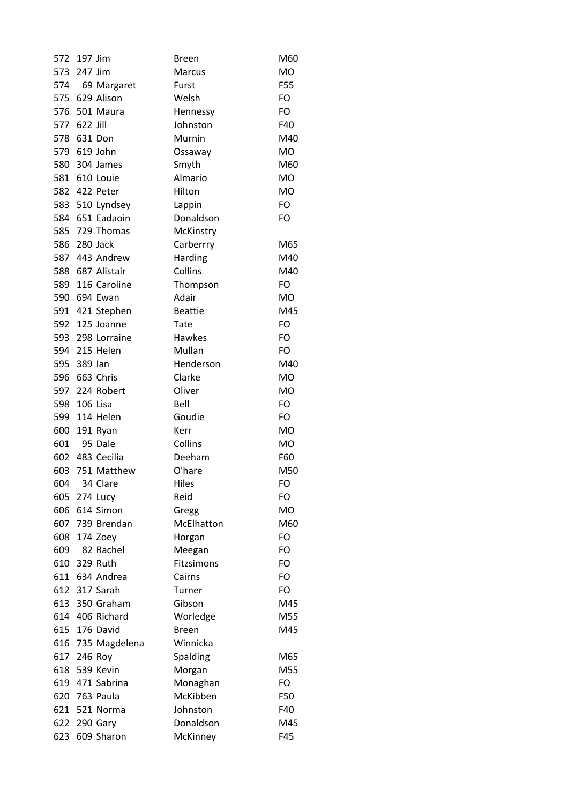| 572        | 197 Jim     |                                | <b>Breen</b>         | M60        |
|------------|-------------|--------------------------------|----------------------|------------|
|            | 573 247 Jim |                                | <b>Marcus</b>        | <b>MO</b>  |
|            |             | 574 69 Margaret                | Furst                | F55        |
|            |             | 575 629 Alison                 | Welsh                | FO         |
| 576        |             | 501 Maura                      | Hennessy             | FO         |
| 577        | 622 Jill    |                                | Johnston             | F40        |
| 578        |             | 631 Don                        | Murnin               | M40        |
|            |             | 579 619 John                   | Ossaway              | <b>MO</b>  |
| 580        |             | 304 James                      | Smyth                | M60        |
|            |             | 581 610 Louie                  | Almario              | <b>MO</b>  |
|            |             | 582 422 Peter                  | Hilton               | <b>MO</b>  |
|            |             | 583 510 Lyndsey                | Lappin               | FO         |
|            |             | 584 651 Eadaoin                | Donaldson            | FO         |
| 585        |             | 729 Thomas                     | McKinstry            |            |
|            |             | 586 280 Jack                   | Carberrry            | M65        |
|            |             | 587 443 Andrew                 | Harding              | M40        |
| 588        |             | 687 Alistair                   | Collins              | M40        |
| 589        |             | 116 Caroline                   | Thompson             | FO         |
| 590        |             | 694 Ewan                       | Adair                | <b>MO</b>  |
|            |             | 591 421 Stephen                | <b>Beattie</b>       | M45        |
|            |             | 592 125 Joanne                 | Tate                 | FO         |
|            |             | 593 298 Lorraine               | Hawkes               | FO         |
|            |             | 594 215 Helen                  | Mullan               | FO         |
| 595        | 389 lan     |                                | Henderson            | M40        |
| 596        |             | 663 Chris                      | Clarke               | <b>MO</b>  |
| 597        |             | 224 Robert                     | Oliver               | <b>MO</b>  |
| 598        |             | 106 Lisa                       | Bell                 | FO         |
|            |             | 599 114 Helen                  | Goudie               | FO         |
| 600        |             | 191 Ryan                       | Kerr                 | <b>MO</b>  |
| 601        |             | 95 Dale                        | Collins              | <b>MO</b>  |
|            |             | 602 483 Cecilia                | Deeham               | F60        |
| 603        |             | 751 Matthew                    | O'hare               | M50        |
| 604        |             | 34 Clare                       | Hiles                | FO         |
|            |             | 605 274 Lucy                   | Reid                 | FO         |
| 606        |             | 614 Simon                      | Gregg                | <b>MO</b>  |
| 607        |             | 739 Brendan                    | McElhatton           | M60        |
| 608        |             | 174 Zoey                       | Horgan               | FO         |
| 609        |             | 82 Rachel                      | Meegan               | FO         |
| 610        |             | 329 Ruth                       | Fitzsimons           | FO         |
|            |             | 611 634 Andrea                 | Cairns               | FO         |
|            |             | 612 317 Sarah                  | Turner               | FO         |
| 613        |             | 350 Graham                     | Gibson               | M45        |
|            |             | 614 406 Richard                | Worledge             | M55        |
|            |             | 615 176 David                  | <b>Breen</b>         | M45        |
| 616        |             | 735 Magdelena                  | Winnicka             |            |
|            |             |                                |                      |            |
| 617<br>618 |             | 246 Roy<br>539 Kevin           | Spalding             | M65<br>M55 |
|            |             |                                | Morgan               |            |
| 619        |             | 471 Sabrina                    | Monaghan<br>McKibben | FO         |
|            |             | 620 763 Paula<br>621 521 Norma | Johnston             | F50<br>F40 |
| 622        |             |                                | Donaldson            | M45        |
|            |             | 290 Gary                       |                      |            |
| 623        |             | 609 Sharon                     | McKinney             | F45        |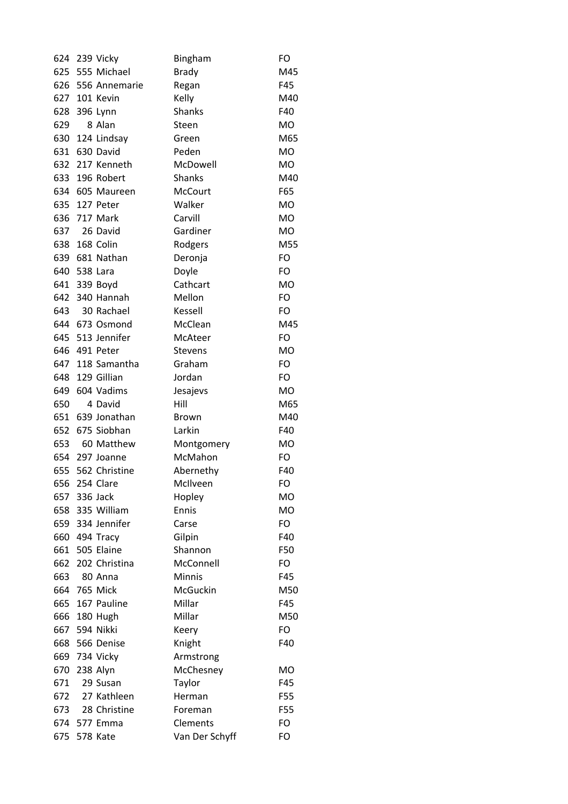| 624 | 239 Vicky        | Bingham         | FO        |
|-----|------------------|-----------------|-----------|
| 625 | 555 Michael      | <b>Brady</b>    | M45       |
| 626 | 556 Annemarie    | Regan           | F45       |
|     | 627 101 Kevin    | Kelly           | M40       |
| 628 | 396 Lynn         | <b>Shanks</b>   | F40       |
| 629 | 8 Alan           | Steen           | <b>MO</b> |
| 630 | 124 Lindsay      | Green           | M65       |
| 631 | 630 David        | Peden           | <b>MO</b> |
|     | 632 217 Kenneth  | McDowell        | <b>MO</b> |
| 633 | 196 Robert       | <b>Shanks</b>   | M40       |
| 634 | 605 Maureen      | <b>McCourt</b>  | F65       |
| 635 | 127 Peter        | Walker          | <b>MO</b> |
| 636 | 717 Mark         | Carvill         | <b>MO</b> |
| 637 | 26 David         | Gardiner        | <b>MO</b> |
|     | 638 168 Colin    | Rodgers         | M55       |
| 639 | 681 Nathan       | Deronja         | FO        |
| 640 | 538 Lara         | Doyle           | FO        |
| 641 | 339 Boyd         | Cathcart        | <b>MO</b> |
| 642 | 340 Hannah       | Mellon          | FO        |
| 643 | 30 Rachael       | Kessell         | FO        |
|     | 644 673 Osmond   | McClean         | M45       |
|     | 645 513 Jennifer | McAteer         | FO        |
| 646 | 491 Peter        | <b>Stevens</b>  | <b>MO</b> |
| 647 | 118 Samantha     | Graham          | FO        |
| 648 | 129 Gillian      | Jordan          | FO        |
| 649 | 604 Vadims       | Jesajevs        | <b>MO</b> |
| 650 | 4 David          | Hill            | M65       |
| 651 | 639 Jonathan     | <b>Brown</b>    | M40       |
| 652 | 675 Siobhan      | Larkin          | F40       |
| 653 | 60 Matthew       | Montgomery      | MO        |
|     | 654 297 Joanne   | McMahon         | FO        |
| 655 | 562 Christine    | Abernethy       | F40       |
| 656 | 254 Clare        | McIlveen        | FO        |
| 657 | 336 Jack         | Hopley          | <b>MO</b> |
|     | 658 335 William  | Ennis           | <b>MO</b> |
|     | 659 334 Jennifer | Carse           | FO        |
|     | 660 494 Tracy    | Gilpin          | F40       |
|     | 661 505 Elaine   | Shannon         | F50       |
| 662 | 202 Christina    | McConnell       | FO        |
| 663 | 80 Anna          | <b>Minnis</b>   | F45       |
|     | 664 765 Mick     | <b>McGuckin</b> | M50       |
|     | 665 167 Pauline  | Millar          | F45       |
|     | 666 180 Hugh     | Millar          | M50       |
|     | 667 594 Nikki    | Keery           | FO        |
| 668 | 566 Denise       | Knight          | F40       |
| 669 | 734 Vicky        | Armstrong       |           |
| 670 | 238 Alyn         | McChesney       | <b>MO</b> |
| 671 | 29 Susan         | Taylor          | F45       |
| 672 | 27 Kathleen      | Herman          | F55       |
| 673 | 28 Christine     | Foreman         | F55       |
|     | 674 577 Emma     | Clements        | FO        |
| 675 | 578 Kate         | Van Der Schyff  | FO        |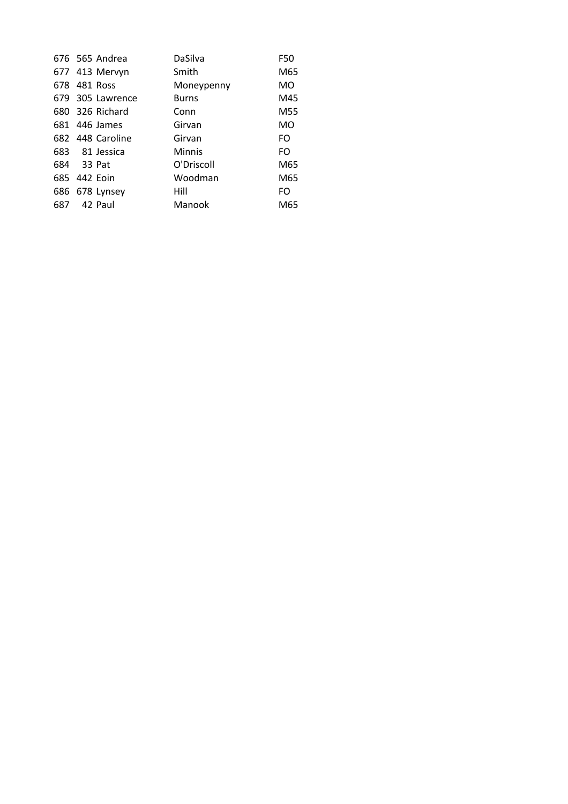|     | 676 565 Andrea   | DaSilva       | F50 |
|-----|------------------|---------------|-----|
|     | 677 413 Mervyn   | Smith         | M65 |
|     | 678 481 Ross     | Moneypenny    | MO  |
|     | 679 305 Lawrence | <b>Burns</b>  | M45 |
|     | 680 326 Richard  | Conn          | M55 |
|     | 681 446 James    | Girvan        | MO  |
|     | 682 448 Caroline | Girvan        | FO. |
|     | 683 81 Jessica   | <b>Minnis</b> | FO. |
|     | 684 33 Pat       | O'Driscoll    | M65 |
|     | 685 442 Eoin     | Woodman       | M65 |
|     | 686 678 Lynsey   | Hill          | FO. |
| 687 | 42 Paul          | Manook        | M65 |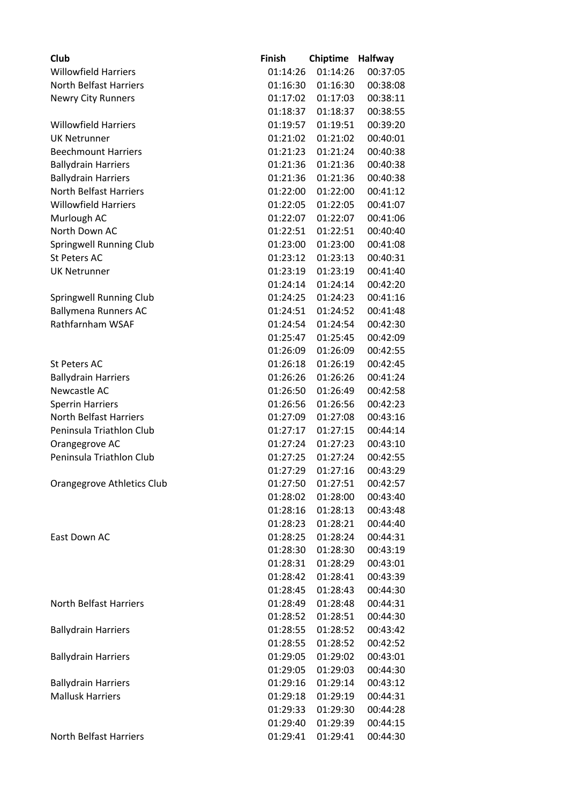| Club                           | <b>Finish</b> | <b>Chiptime</b> | <b>Halfway</b> |
|--------------------------------|---------------|-----------------|----------------|
| <b>Willowfield Harriers</b>    | 01:14:26      | 01:14:26        | 00:37:05       |
| <b>North Belfast Harriers</b>  | 01:16:30      | 01:16:30        | 00:38:08       |
| <b>Newry City Runners</b>      | 01:17:02      | 01:17:03        | 00:38:11       |
|                                | 01:18:37      | 01:18:37        | 00:38:55       |
| <b>Willowfield Harriers</b>    | 01:19:57      | 01:19:51        | 00:39:20       |
| <b>UK Netrunner</b>            | 01:21:02      | 01:21:02        | 00:40:01       |
| <b>Beechmount Harriers</b>     | 01:21:23      | 01:21:24        | 00:40:38       |
| <b>Ballydrain Harriers</b>     | 01:21:36      | 01:21:36        | 00:40:38       |
| <b>Ballydrain Harriers</b>     | 01:21:36      | 01:21:36        | 00:40:38       |
| <b>North Belfast Harriers</b>  | 01:22:00      | 01:22:00        | 00:41:12       |
| <b>Willowfield Harriers</b>    | 01:22:05      | 01:22:05        | 00:41:07       |
| Murlough AC                    | 01:22:07      | 01:22:07        | 00:41:06       |
| North Down AC                  | 01:22:51      | 01:22:51        | 00:40:40       |
| <b>Springwell Running Club</b> | 01:23:00      | 01:23:00        | 00:41:08       |
| <b>St Peters AC</b>            | 01:23:12      | 01:23:13        | 00:40:31       |
| <b>UK Netrunner</b>            | 01:23:19      | 01:23:19        | 00:41:40       |
|                                | 01:24:14      | 01:24:14        | 00:42:20       |
| Springwell Running Club        | 01:24:25      | 01:24:23        | 00:41:16       |
| <b>Ballymena Runners AC</b>    | 01:24:51      | 01:24:52        | 00:41:48       |
| Rathfarnham WSAF               | 01:24:54      | 01:24:54        | 00:42:30       |
|                                | 01:25:47      | 01:25:45        | 00:42:09       |
|                                | 01:26:09      | 01:26:09        | 00:42:55       |
| <b>St Peters AC</b>            | 01:26:18      | 01:26:19        | 00:42:45       |
| <b>Ballydrain Harriers</b>     | 01:26:26      | 01:26:26        | 00:41:24       |
| Newcastle AC                   | 01:26:50      | 01:26:49        | 00:42:58       |
| <b>Sperrin Harriers</b>        | 01:26:56      | 01:26:56        | 00:42:23       |
| <b>North Belfast Harriers</b>  | 01:27:09      | 01:27:08        | 00:43:16       |
| Peninsula Triathlon Club       | 01:27:17      | 01:27:15        | 00:44:14       |
| Orangegrove AC                 | 01:27:24      | 01:27:23        | 00:43:10       |
| Peninsula Triathlon Club       | 01:27:25      | 01:27:24        | 00:42:55       |
|                                | 01:27:29      | 01:27:16        | 00:43:29       |
| Orangegrove Athletics Club     | 01:27:50      | 01:27:51        | 00:42:57       |
|                                | 01:28:02      | 01:28:00        | 00:43:40       |
|                                | 01:28:16      | 01:28:13        | 00:43:48       |
|                                | 01:28:23      | 01:28:21        | 00:44:40       |
| East Down AC                   | 01:28:25      | 01:28:24        | 00:44:31       |
|                                | 01:28:30      | 01:28:30        | 00:43:19       |
|                                | 01:28:31      | 01:28:29        | 00:43:01       |
|                                | 01:28:42      | 01:28:41        | 00:43:39       |
|                                | 01:28:45      | 01:28:43        | 00:44:30       |
| North Belfast Harriers         | 01:28:49      | 01:28:48        | 00:44:31       |
|                                | 01:28:52      | 01:28:51        | 00:44:30       |
| <b>Ballydrain Harriers</b>     | 01:28:55      | 01:28:52        | 00:43:42       |
|                                | 01:28:55      | 01:28:52        | 00:42:52       |
| <b>Ballydrain Harriers</b>     | 01:29:05      | 01:29:02        | 00:43:01       |
|                                | 01:29:05      | 01:29:03        | 00:44:30       |
| <b>Ballydrain Harriers</b>     | 01:29:16      | 01:29:14        | 00:43:12       |
| <b>Mallusk Harriers</b>        | 01:29:18      | 01:29:19        | 00:44:31       |
|                                | 01:29:33      | 01:29:30        | 00:44:28       |
|                                | 01:29:40      | 01:29:39        | 00:44:15       |
| North Belfast Harriers         | 01:29:41      | 01:29:41        | 00:44:30       |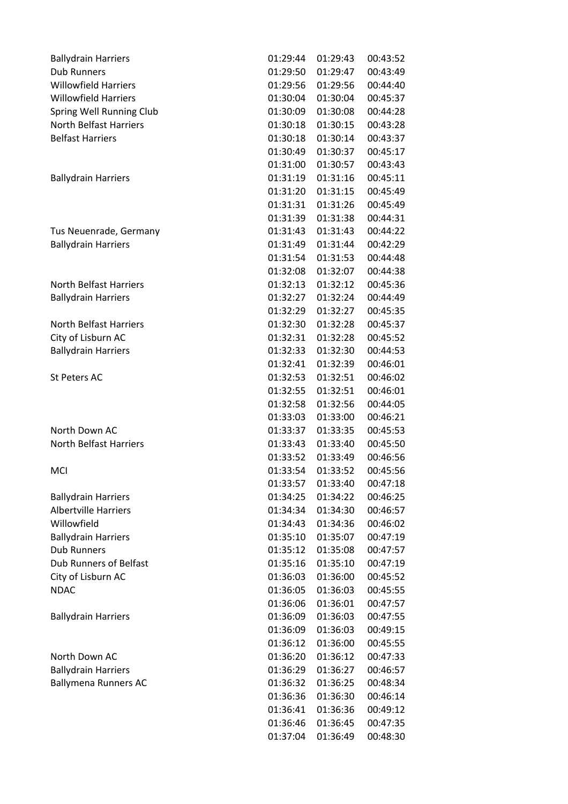| <b>Ballydrain Harriers</b>    | 01:29:44 | 01:29:43 | 00:43:52 |
|-------------------------------|----------|----------|----------|
| <b>Dub Runners</b>            | 01:29:50 | 01:29:47 | 00:43:49 |
| <b>Willowfield Harriers</b>   | 01:29:56 | 01:29:56 | 00:44:40 |
| <b>Willowfield Harriers</b>   | 01:30:04 | 01:30:04 | 00:45:37 |
| Spring Well Running Club      | 01:30:09 | 01:30:08 | 00:44:28 |
| <b>North Belfast Harriers</b> | 01:30:18 | 01:30:15 | 00:43:28 |
| <b>Belfast Harriers</b>       | 01:30:18 | 01:30:14 | 00:43:37 |
|                               | 01:30:49 | 01:30:37 | 00:45:17 |
|                               | 01:31:00 | 01:30:57 | 00:43:43 |
| <b>Ballydrain Harriers</b>    | 01:31:19 | 01:31:16 | 00:45:11 |
|                               | 01:31:20 | 01:31:15 | 00:45:49 |
|                               | 01:31:31 | 01:31:26 | 00:45:49 |
|                               | 01:31:39 | 01:31:38 | 00:44:31 |
| Tus Neuenrade, Germany        | 01:31:43 | 01:31:43 | 00:44:22 |
| <b>Ballydrain Harriers</b>    | 01:31:49 | 01:31:44 | 00:42:29 |
|                               | 01:31:54 | 01:31:53 | 00:44:48 |
|                               | 01:32:08 | 01:32:07 | 00:44:38 |
| <b>North Belfast Harriers</b> | 01:32:13 | 01:32:12 | 00:45:36 |
| <b>Ballydrain Harriers</b>    | 01:32:27 | 01:32:24 | 00:44:49 |
|                               | 01:32:29 | 01:32:27 | 00:45:35 |
| <b>North Belfast Harriers</b> | 01:32:30 | 01:32:28 | 00:45:37 |
| City of Lisburn AC            | 01:32:31 | 01:32:28 | 00:45:52 |
| <b>Ballydrain Harriers</b>    | 01:32:33 | 01:32:30 | 00:44:53 |
|                               | 01:32:41 | 01:32:39 | 00:46:01 |
| <b>St Peters AC</b>           | 01:32:53 | 01:32:51 | 00:46:02 |
|                               | 01:32:55 | 01:32:51 | 00:46:01 |
|                               | 01:32:58 | 01:32:56 | 00:44:05 |
|                               | 01:33:03 | 01:33:00 | 00:46:21 |
| North Down AC                 | 01:33:37 | 01:33:35 | 00:45:53 |
| <b>North Belfast Harriers</b> | 01:33:43 | 01:33:40 | 00:45:50 |
|                               | 01:33:52 | 01:33:49 | 00:46:56 |
| <b>MCI</b>                    | 01:33:54 | 01:33:52 | 00:45:56 |
|                               | 01:33:57 | 01:33:40 | 00:47:18 |
| <b>Ballydrain Harriers</b>    | 01:34:25 | 01:34:22 | 00:46:25 |
| <b>Albertville Harriers</b>   | 01:34:34 | 01:34:30 | 00:46:57 |
| Willowfield                   | 01:34:43 | 01:34:36 | 00:46:02 |
| <b>Ballydrain Harriers</b>    | 01:35:10 | 01:35:07 | 00:47:19 |
| <b>Dub Runners</b>            | 01:35:12 | 01:35:08 | 00:47:57 |
| <b>Dub Runners of Belfast</b> | 01:35:16 | 01:35:10 | 00:47:19 |
| City of Lisburn AC            | 01:36:03 | 01:36:00 | 00:45:52 |
| <b>NDAC</b>                   | 01:36:05 | 01:36:03 | 00:45:55 |
|                               | 01:36:06 | 01:36:01 | 00:47:57 |
| <b>Ballydrain Harriers</b>    | 01:36:09 | 01:36:03 | 00:47:55 |
|                               | 01:36:09 | 01:36:03 | 00:49:15 |
|                               | 01:36:12 | 01:36:00 | 00:45:55 |
| North Down AC                 | 01:36:20 | 01:36:12 | 00:47:33 |
| <b>Ballydrain Harriers</b>    | 01:36:29 | 01:36:27 | 00:46:57 |
| <b>Ballymena Runners AC</b>   | 01:36:32 | 01:36:25 | 00:48:34 |
|                               | 01:36:36 | 01:36:30 | 00:46:14 |
|                               | 01:36:41 | 01:36:36 | 00:49:12 |
|                               | 01:36:46 | 01:36:45 | 00:47:35 |
|                               | 01:37:04 | 01:36:49 | 00:48:30 |
|                               |          |          |          |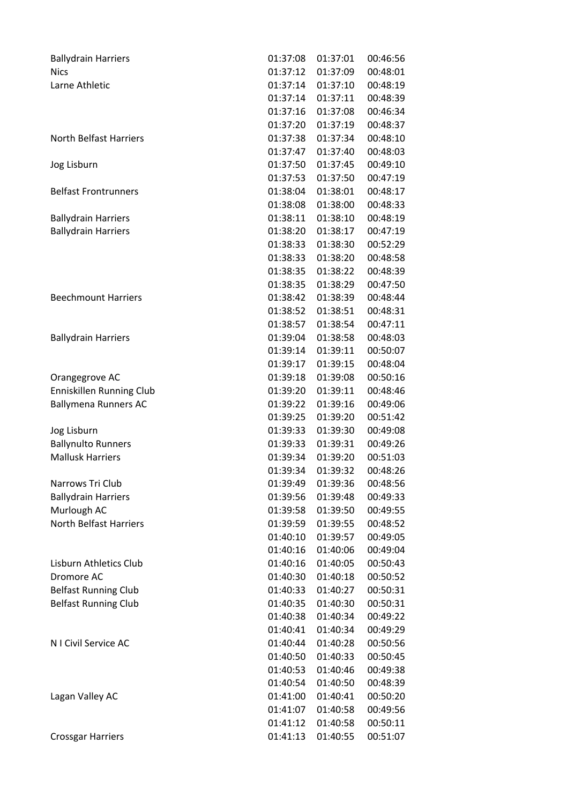| <b>Ballydrain Harriers</b>    | 01:37:08 | 01:37:01 | 00:46:56 |
|-------------------------------|----------|----------|----------|
| <b>Nics</b>                   | 01:37:12 | 01:37:09 | 00:48:01 |
| Larne Athletic                | 01:37:14 | 01:37:10 | 00:48:19 |
|                               | 01:37:14 | 01:37:11 | 00:48:39 |
|                               | 01:37:16 | 01:37:08 | 00:46:34 |
|                               | 01:37:20 | 01:37:19 | 00:48:37 |
| <b>North Belfast Harriers</b> | 01:37:38 | 01:37:34 | 00:48:10 |
|                               | 01:37:47 | 01:37:40 | 00:48:03 |
| Jog Lisburn                   | 01:37:50 | 01:37:45 | 00:49:10 |
|                               | 01:37:53 | 01:37:50 | 00:47:19 |
| <b>Belfast Frontrunners</b>   | 01:38:04 | 01:38:01 | 00:48:17 |
|                               | 01:38:08 | 01:38:00 | 00:48:33 |
| <b>Ballydrain Harriers</b>    | 01:38:11 | 01:38:10 | 00:48:19 |
| <b>Ballydrain Harriers</b>    | 01:38:20 | 01:38:17 | 00:47:19 |
|                               | 01:38:33 | 01:38:30 | 00:52:29 |
|                               | 01:38:33 | 01:38:20 | 00:48:58 |
|                               | 01:38:35 | 01:38:22 | 00:48:39 |
|                               | 01:38:35 | 01:38:29 | 00:47:50 |
| <b>Beechmount Harriers</b>    | 01:38:42 | 01:38:39 | 00:48:44 |
|                               | 01:38:52 | 01:38:51 | 00:48:31 |
|                               | 01:38:57 | 01:38:54 | 00:47:11 |
| <b>Ballydrain Harriers</b>    | 01:39:04 | 01:38:58 | 00:48:03 |
|                               | 01:39:14 | 01:39:11 | 00:50:07 |
|                               | 01:39:17 | 01:39:15 | 00:48:04 |
| Orangegrove AC                | 01:39:18 | 01:39:08 | 00:50:16 |
| Enniskillen Running Club      | 01:39:20 | 01:39:11 | 00:48:46 |
| <b>Ballymena Runners AC</b>   | 01:39:22 | 01:39:16 | 00:49:06 |
|                               | 01:39:25 | 01:39:20 | 00:51:42 |
| Jog Lisburn                   | 01:39:33 | 01:39:30 | 00:49:08 |
| <b>Ballynulto Runners</b>     | 01:39:33 | 01:39:31 | 00:49:26 |
| <b>Mallusk Harriers</b>       | 01:39:34 | 01:39:20 | 00:51:03 |
|                               | 01:39:34 | 01:39:32 | 00:48:26 |
| Narrows Tri Club              | 01:39:49 | 01:39:36 | 00:48:56 |
| <b>Ballydrain Harriers</b>    | 01:39:56 | 01:39:48 | 00:49:33 |
| Murlough AC                   | 01:39:58 | 01:39:50 | 00:49:55 |
| <b>North Belfast Harriers</b> | 01:39:59 | 01:39:55 | 00:48:52 |
|                               | 01:40:10 | 01:39:57 | 00:49:05 |
|                               | 01:40:16 | 01:40:06 | 00:49:04 |
| Lisburn Athletics Club        | 01:40:16 | 01:40:05 | 00:50:43 |
| Dromore AC                    | 01:40:30 | 01:40:18 | 00:50:52 |
| <b>Belfast Running Club</b>   | 01:40:33 | 01:40:27 | 00:50:31 |
| <b>Belfast Running Club</b>   | 01:40:35 | 01:40:30 | 00:50:31 |
|                               | 01:40:38 | 01:40:34 | 00:49:22 |
|                               | 01:40:41 | 01:40:34 | 00:49:29 |
| N I Civil Service AC          | 01:40:44 | 01:40:28 | 00:50:56 |
|                               | 01:40:50 | 01:40:33 | 00:50:45 |
|                               | 01:40:53 | 01:40:46 | 00:49:38 |
|                               | 01:40:54 | 01:40:50 | 00:48:39 |
| Lagan Valley AC               | 01:41:00 | 01:40:41 | 00:50:20 |
|                               | 01:41:07 | 01:40:58 | 00:49:56 |
|                               | 01:41:12 | 01:40:58 | 00:50:11 |
| <b>Crossgar Harriers</b>      | 01:41:13 | 01:40:55 | 00:51:07 |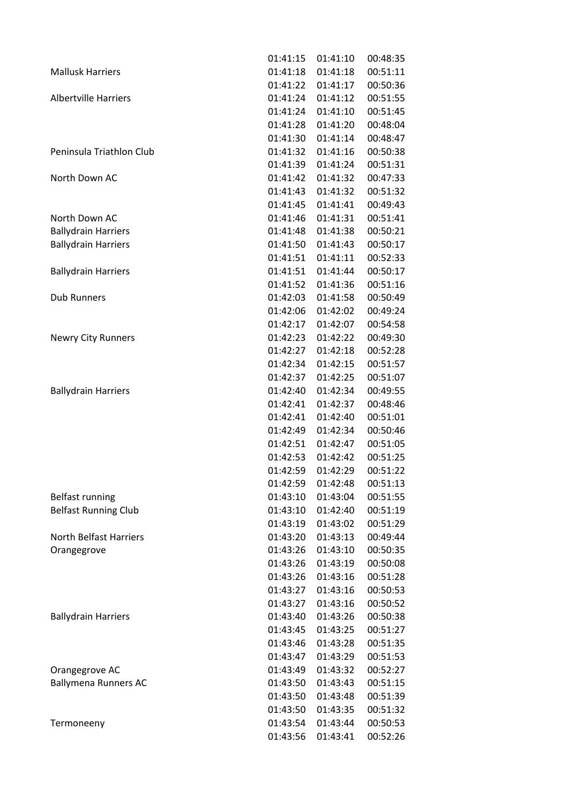|                               | 01:41:15 | 01:41:10 | 00:48:35 |
|-------------------------------|----------|----------|----------|
| <b>Mallusk Harriers</b>       | 01:41:18 | 01:41:18 | 00:51:11 |
|                               | 01:41:22 | 01:41:17 | 00:50:36 |
| <b>Albertville Harriers</b>   | 01:41:24 | 01:41:12 | 00:51:55 |
|                               | 01:41:24 | 01:41:10 | 00:51:45 |
|                               | 01:41:28 | 01:41:20 | 00:48:04 |
|                               | 01:41:30 | 01:41:14 | 00:48:47 |
| Peninsula Triathlon Club      | 01:41:32 | 01:41:16 | 00:50:38 |
|                               | 01:41:39 | 01:41:24 | 00:51:31 |
| North Down AC                 | 01:41:42 | 01:41:32 | 00:47:33 |
|                               | 01:41:43 | 01:41:32 | 00:51:32 |
|                               | 01:41:45 | 01:41:41 | 00:49:43 |
| North Down AC                 | 01:41:46 | 01:41:31 | 00:51:41 |
| <b>Ballydrain Harriers</b>    | 01:41:48 | 01:41:38 | 00:50:21 |
| <b>Ballydrain Harriers</b>    | 01:41:50 | 01:41:43 | 00:50:17 |
|                               | 01:41:51 | 01:41:11 | 00:52:33 |
| <b>Ballydrain Harriers</b>    | 01:41:51 | 01:41:44 | 00:50:17 |
|                               | 01:41:52 | 01:41:36 | 00:51:16 |
| <b>Dub Runners</b>            | 01:42:03 | 01:41:58 | 00:50:49 |
|                               | 01:42:06 | 01:42:02 | 00:49:24 |
|                               | 01:42:17 | 01:42:07 | 00:54:58 |
| <b>Newry City Runners</b>     | 01:42:23 | 01:42:22 | 00:49:30 |
|                               | 01:42:27 | 01:42:18 | 00:52:28 |
|                               | 01:42:34 | 01:42:15 | 00:51:57 |
|                               | 01:42:37 | 01:42:25 | 00:51:07 |
| <b>Ballydrain Harriers</b>    | 01:42:40 | 01:42:34 | 00:49:55 |
|                               | 01:42:41 | 01:42:37 | 00:48:46 |
|                               | 01:42:41 | 01:42:40 | 00:51:01 |
|                               | 01:42:49 | 01:42:34 | 00:50:46 |
|                               | 01:42:51 | 01:42:47 | 00:51:05 |
|                               | 01:42:53 | 01:42:42 | 00:51:25 |
|                               | 01:42:59 | 01:42:29 | 00:51:22 |
|                               | 01:42:59 | 01:42:48 | 00:51:13 |
| <b>Belfast running</b>        | 01:43:10 | 01:43:04 | 00:51:55 |
| <b>Belfast Running Club</b>   | 01:43:10 | 01:42:40 | 00:51:19 |
|                               | 01:43:19 | 01:43:02 | 00:51:29 |
| <b>North Belfast Harriers</b> | 01:43:20 | 01:43:13 | 00:49:44 |
| Orangegrove                   | 01:43:26 | 01:43:10 | 00:50:35 |
|                               | 01:43:26 | 01:43:19 | 00:50:08 |
|                               | 01:43:26 | 01:43:16 | 00:51:28 |
|                               | 01:43:27 | 01:43:16 | 00:50:53 |
|                               | 01:43:27 | 01:43:16 | 00:50:52 |
| <b>Ballydrain Harriers</b>    | 01:43:40 | 01:43:26 | 00:50:38 |
|                               | 01:43:45 | 01:43:25 | 00:51:27 |
|                               | 01:43:46 | 01:43:28 | 00:51:35 |
|                               | 01:43:47 | 01:43:29 | 00:51:53 |
| Orangegrove AC                | 01:43:49 | 01:43:32 | 00:52:27 |
| <b>Ballymena Runners AC</b>   | 01:43:50 | 01:43:43 | 00:51:15 |
|                               | 01:43:50 | 01:43:48 | 00:51:39 |
|                               | 01:43:50 | 01:43:35 | 00:51:32 |
| Termoneeny                    | 01:43:54 | 01:43:44 | 00:50:53 |
|                               | 01:43:56 | 01:43:41 | 00:52:26 |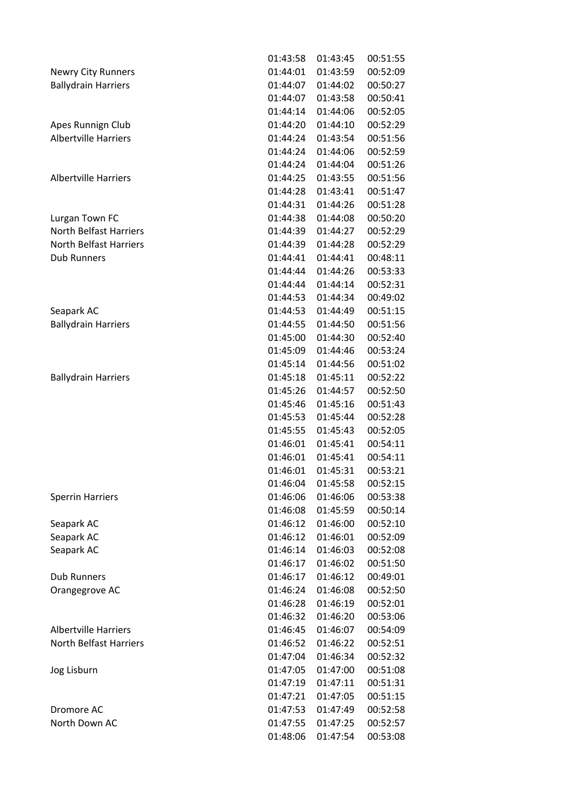|                               | 01:43:58 | 01:43:45 | 00:51:55 |
|-------------------------------|----------|----------|----------|
| <b>Newry City Runners</b>     | 01:44:01 | 01:43:59 | 00:52:09 |
| <b>Ballydrain Harriers</b>    | 01:44:07 | 01:44:02 | 00:50:27 |
|                               | 01:44:07 | 01:43:58 | 00:50:41 |
|                               | 01:44:14 | 01:44:06 | 00:52:05 |
| Apes Runnign Club             | 01:44:20 | 01:44:10 | 00:52:29 |
| <b>Albertville Harriers</b>   | 01:44:24 | 01:43:54 | 00:51:56 |
|                               | 01:44:24 | 01:44:06 | 00:52:59 |
|                               | 01:44:24 | 01:44:04 | 00:51:26 |
| <b>Albertville Harriers</b>   | 01:44:25 | 01:43:55 | 00:51:56 |
|                               | 01:44:28 | 01:43:41 | 00:51:47 |
|                               | 01:44:31 | 01:44:26 | 00:51:28 |
| Lurgan Town FC                | 01:44:38 | 01:44:08 | 00:50:20 |
| <b>North Belfast Harriers</b> | 01:44:39 | 01:44:27 | 00:52:29 |
| <b>North Belfast Harriers</b> | 01:44:39 | 01:44:28 | 00:52:29 |
| <b>Dub Runners</b>            | 01:44:41 | 01:44:41 | 00:48:11 |
|                               | 01:44:44 | 01:44:26 | 00:53:33 |
|                               | 01:44:44 | 01:44:14 | 00:52:31 |
|                               | 01:44:53 | 01:44:34 | 00:49:02 |
| Seapark AC                    | 01:44:53 | 01:44:49 | 00:51:15 |
| <b>Ballydrain Harriers</b>    | 01:44:55 | 01:44:50 | 00:51:56 |
|                               | 01:45:00 | 01:44:30 | 00:52:40 |
|                               | 01:45:09 | 01:44:46 | 00:53:24 |
|                               | 01:45:14 | 01:44:56 | 00:51:02 |
| <b>Ballydrain Harriers</b>    | 01:45:18 | 01:45:11 | 00:52:22 |
|                               | 01:45:26 | 01:44:57 | 00:52:50 |
|                               | 01:45:46 | 01:45:16 | 00:51:43 |
|                               | 01:45:53 | 01:45:44 | 00:52:28 |
|                               | 01:45:55 | 01:45:43 | 00:52:05 |
|                               | 01:46:01 | 01:45:41 | 00:54:11 |
|                               | 01:46:01 | 01:45:41 | 00:54:11 |
|                               | 01:46:01 | 01:45:31 | 00:53:21 |
|                               | 01:46:04 | 01:45:58 | 00:52:15 |
| <b>Sperrin Harriers</b>       | 01:46:06 | 01:46:06 | 00:53:38 |
|                               | 01:46:08 | 01:45:59 | 00:50:14 |
| Seapark AC                    | 01:46:12 | 01:46:00 | 00:52:10 |
| Seapark AC                    | 01:46:12 | 01:46:01 | 00:52:09 |
| Seapark AC                    | 01:46:14 | 01:46:03 | 00:52:08 |
|                               | 01:46:17 | 01:46:02 | 00:51:50 |
| <b>Dub Runners</b>            | 01:46:17 | 01:46:12 | 00:49:01 |
| Orangegrove AC                | 01:46:24 | 01:46:08 | 00:52:50 |
|                               | 01:46:28 | 01:46:19 | 00:52:01 |
|                               | 01:46:32 | 01:46:20 | 00:53:06 |
| <b>Albertville Harriers</b>   | 01:46:45 | 01:46:07 | 00:54:09 |
| <b>North Belfast Harriers</b> | 01:46:52 | 01:46:22 | 00:52:51 |
|                               | 01:47:04 | 01:46:34 | 00:52:32 |
| Jog Lisburn                   | 01:47:05 | 01:47:00 | 00:51:08 |
|                               | 01:47:19 | 01:47:11 | 00:51:31 |
|                               | 01:47:21 | 01:47:05 | 00:51:15 |
| Dromore AC                    | 01:47:53 | 01:47:49 | 00:52:58 |
| North Down AC                 | 01:47:55 | 01:47:25 | 00:52:57 |
|                               | 01:48:06 | 01:47:54 | 00:53:08 |
|                               |          |          |          |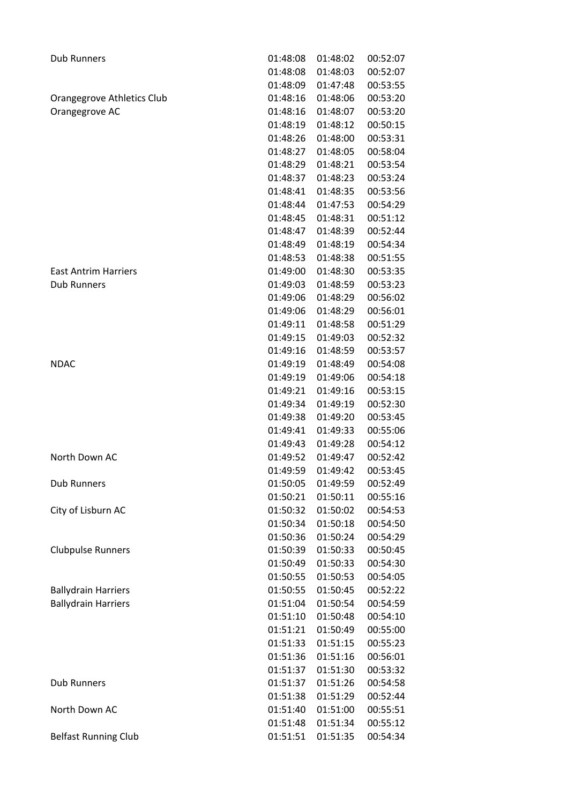| <b>Dub Runners</b>          | 01:48:08 | 01:48:02 | 00:52:07 |
|-----------------------------|----------|----------|----------|
|                             | 01:48:08 | 01:48:03 | 00:52:07 |
|                             | 01:48:09 | 01:47:48 | 00:53:55 |
| Orangegrove Athletics Club  | 01:48:16 | 01:48:06 | 00:53:20 |
| Orangegrove AC              | 01:48:16 | 01:48:07 | 00:53:20 |
|                             | 01:48:19 | 01:48:12 | 00:50:15 |
|                             | 01:48:26 | 01:48:00 | 00:53:31 |
|                             | 01:48:27 | 01:48:05 | 00:58:04 |
|                             | 01:48:29 | 01:48:21 | 00:53:54 |
|                             | 01:48:37 | 01:48:23 | 00:53:24 |
|                             | 01:48:41 | 01:48:35 | 00:53:56 |
|                             | 01:48:44 | 01:47:53 | 00:54:29 |
|                             | 01:48:45 | 01:48:31 | 00:51:12 |
|                             | 01:48:47 | 01:48:39 | 00:52:44 |
|                             | 01:48:49 | 01:48:19 | 00:54:34 |
|                             | 01:48:53 | 01:48:38 | 00:51:55 |
| <b>East Antrim Harriers</b> | 01:49:00 | 01:48:30 | 00:53:35 |
| <b>Dub Runners</b>          | 01:49:03 | 01:48:59 | 00:53:23 |
|                             | 01:49:06 | 01:48:29 | 00:56:02 |
|                             | 01:49:06 | 01:48:29 | 00:56:01 |
|                             | 01:49:11 | 01:48:58 | 00:51:29 |
|                             | 01:49:15 | 01:49:03 | 00:52:32 |
|                             | 01:49:16 | 01:48:59 | 00:53:57 |
| <b>NDAC</b>                 | 01:49:19 | 01:48:49 | 00:54:08 |
|                             | 01:49:19 | 01:49:06 | 00:54:18 |
|                             | 01:49:21 | 01:49:16 | 00:53:15 |
|                             | 01:49:34 | 01:49:19 | 00:52:30 |
|                             | 01:49:38 | 01:49:20 | 00:53:45 |
|                             | 01:49:41 | 01:49:33 | 00:55:06 |
|                             | 01:49:43 | 01:49:28 | 00:54:12 |
| North Down AC               | 01:49:52 | 01:49:47 | 00:52:42 |
|                             | 01:49:59 | 01:49:42 | 00:53:45 |
| <b>Dub Runners</b>          | 01:50:05 | 01:49:59 | 00:52:49 |
|                             | 01:50:21 | 01:50:11 | 00:55:16 |
| City of Lisburn AC          | 01:50:32 | 01:50:02 | 00:54:53 |
|                             | 01:50:34 | 01:50:18 | 00:54:50 |
|                             | 01:50:36 | 01:50:24 | 00:54:29 |
| <b>Clubpulse Runners</b>    | 01:50:39 | 01:50:33 | 00:50:45 |
|                             | 01:50:49 | 01:50:33 | 00:54:30 |
|                             | 01:50:55 | 01:50:53 | 00:54:05 |
| <b>Ballydrain Harriers</b>  | 01:50:55 | 01:50:45 | 00:52:22 |
| <b>Ballydrain Harriers</b>  | 01:51:04 | 01:50:54 | 00:54:59 |
|                             | 01:51:10 | 01:50:48 | 00:54:10 |
|                             | 01:51:21 | 01:50:49 | 00:55:00 |
|                             | 01:51:33 | 01:51:15 | 00:55:23 |
|                             | 01:51:36 | 01:51:16 | 00:56:01 |
|                             | 01:51:37 | 01:51:30 | 00:53:32 |
| <b>Dub Runners</b>          | 01:51:37 | 01:51:26 | 00:54:58 |
|                             | 01:51:38 | 01:51:29 | 00:52:44 |
| North Down AC               | 01:51:40 | 01:51:00 | 00:55:51 |
|                             | 01:51:48 | 01:51:34 | 00:55:12 |
| <b>Belfast Running Club</b> | 01:51:51 | 01:51:35 | 00:54:34 |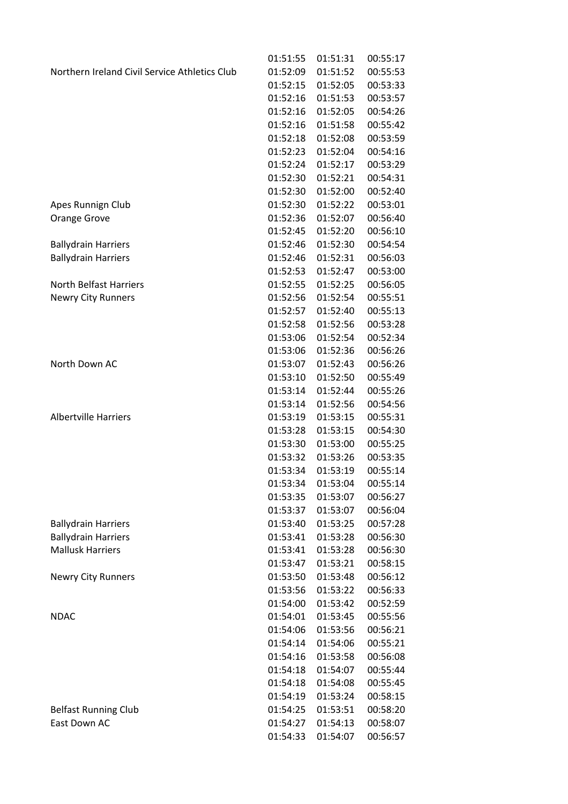|                                               | 01:51:55 | 01:51:31          | 00:55:17 |
|-----------------------------------------------|----------|-------------------|----------|
| Northern Ireland Civil Service Athletics Club | 01:52:09 | 01:51:52          | 00:55:53 |
|                                               | 01:52:15 | 01:52:05          | 00:53:33 |
|                                               | 01:52:16 | 01:51:53          | 00:53:57 |
|                                               | 01:52:16 | 01:52:05          | 00:54:26 |
|                                               | 01:52:16 | 01:51:58          | 00:55:42 |
|                                               | 01:52:18 | 01:52:08          | 00:53:59 |
|                                               | 01:52:23 | 01:52:04          | 00:54:16 |
|                                               | 01:52:24 | 01:52:17          | 00:53:29 |
|                                               | 01:52:30 | 01:52:21          | 00:54:31 |
|                                               | 01:52:30 | 01:52:00          | 00:52:40 |
| Apes Runnign Club                             | 01:52:30 | 01:52:22          | 00:53:01 |
| Orange Grove                                  | 01:52:36 | 01:52:07          | 00:56:40 |
|                                               | 01:52:45 | 01:52:20          | 00:56:10 |
| <b>Ballydrain Harriers</b>                    | 01:52:46 | 01:52:30          | 00:54:54 |
| <b>Ballydrain Harriers</b>                    | 01:52:46 | 01:52:31          | 00:56:03 |
|                                               | 01:52:53 | 01:52:47          | 00:53:00 |
| <b>North Belfast Harriers</b>                 | 01:52:55 | 01:52:25          | 00:56:05 |
| <b>Newry City Runners</b>                     | 01:52:56 | 01:52:54          | 00:55:51 |
|                                               | 01:52:57 | 01:52:40          | 00:55:13 |
|                                               | 01:52:58 | 01:52:56          | 00:53:28 |
|                                               | 01:53:06 | 01:52:54          | 00:52:34 |
|                                               | 01:53:06 | 01:52:36          | 00:56:26 |
| North Down AC                                 | 01:53:07 | 01:52:43          | 00:56:26 |
|                                               | 01:53:10 | 01:52:50          | 00:55:49 |
|                                               | 01:53:14 | 01:52:44          | 00:55:26 |
|                                               | 01:53:14 | 01:52:56          | 00:54:56 |
| <b>Albertville Harriers</b>                   | 01:53:19 | 01:53:15          | 00:55:31 |
|                                               | 01:53:28 | 01:53:15          | 00:54:30 |
|                                               | 01:53:30 | 01:53:00          | 00:55:25 |
|                                               | 01:53:32 | 01:53:26          | 00:53:35 |
|                                               | 01:53:34 | 01:53:19          | 00:55:14 |
|                                               |          | 01:53:34 01:53:04 | 00:55:14 |
|                                               | 01:53:35 | 01:53:07          | 00:56:27 |
|                                               | 01:53:37 | 01:53:07          | 00:56:04 |
| <b>Ballydrain Harriers</b>                    | 01:53:40 | 01:53:25          | 00:57:28 |
| <b>Ballydrain Harriers</b>                    | 01:53:41 | 01:53:28          | 00:56:30 |
| <b>Mallusk Harriers</b>                       | 01:53:41 | 01:53:28          | 00:56:30 |
|                                               | 01:53:47 | 01:53:21          | 00:58:15 |
| <b>Newry City Runners</b>                     | 01:53:50 | 01:53:48          | 00:56:12 |
|                                               | 01:53:56 | 01:53:22          | 00:56:33 |
|                                               | 01:54:00 | 01:53:42          | 00:52:59 |
| <b>NDAC</b>                                   | 01:54:01 | 01:53:45          | 00:55:56 |
|                                               | 01:54:06 | 01:53:56          | 00:56:21 |
|                                               | 01:54:14 | 01:54:06          | 00:55:21 |
|                                               | 01:54:16 | 01:53:58          | 00:56:08 |
|                                               | 01:54:18 | 01:54:07          | 00:55:44 |
|                                               | 01:54:18 | 01:54:08          | 00:55:45 |
|                                               | 01:54:19 | 01:53:24          | 00:58:15 |
| <b>Belfast Running Club</b>                   | 01:54:25 | 01:53:51          | 00:58:20 |
| East Down AC                                  | 01:54:27 | 01:54:13          | 00:58:07 |
|                                               | 01:54:33 | 01:54:07          | 00:56:57 |
|                                               |          |                   |          |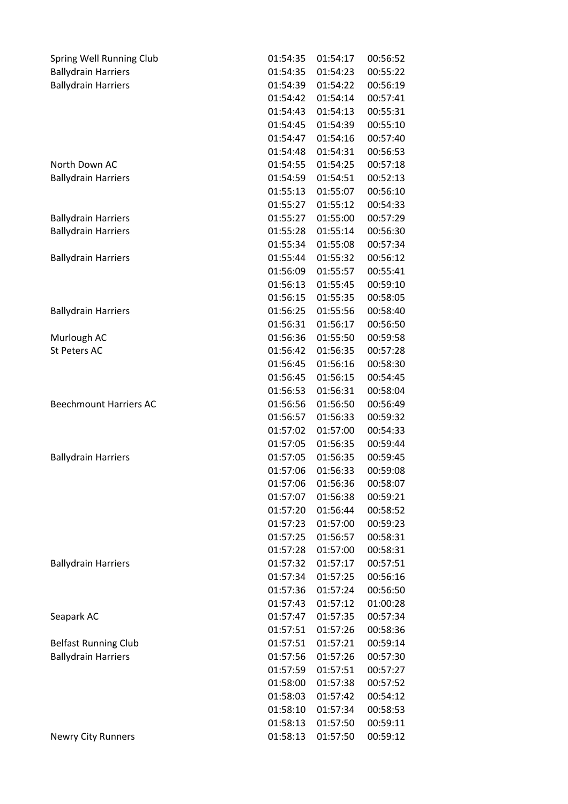| Spring Well Running Club      | 01:54:35             | 01:54:17             | 00:56:52             |
|-------------------------------|----------------------|----------------------|----------------------|
| <b>Ballydrain Harriers</b>    | 01:54:35             | 01:54:23             | 00:55:22             |
| <b>Ballydrain Harriers</b>    | 01:54:39             | 01:54:22             | 00:56:19             |
|                               | 01:54:42             | 01:54:14             | 00:57:41             |
|                               | 01:54:43             | 01:54:13             | 00:55:31             |
|                               | 01:54:45             | 01:54:39             | 00:55:10             |
|                               | 01:54:47             | 01:54:16             | 00:57:40             |
|                               | 01:54:48             | 01:54:31             | 00:56:53             |
| North Down AC                 | 01:54:55             | 01:54:25             | 00:57:18             |
| <b>Ballydrain Harriers</b>    | 01:54:59             | 01:54:51             | 00:52:13             |
|                               | 01:55:13             | 01:55:07             | 00:56:10             |
|                               | 01:55:27             | 01:55:12             | 00:54:33             |
| <b>Ballydrain Harriers</b>    | 01:55:27             | 01:55:00             | 00:57:29             |
| <b>Ballydrain Harriers</b>    | 01:55:28             | 01:55:14             | 00:56:30             |
|                               | 01:55:34             | 01:55:08             | 00:57:34             |
| <b>Ballydrain Harriers</b>    | 01:55:44             | 01:55:32             | 00:56:12             |
|                               | 01:56:09             | 01:55:57             | 00:55:41             |
|                               | 01:56:13             | 01:55:45             | 00:59:10             |
|                               | 01:56:15             | 01:55:35             | 00:58:05             |
| <b>Ballydrain Harriers</b>    | 01:56:25             | 01:55:56             | 00:58:40             |
|                               | 01:56:31             | 01:56:17             | 00:56:50             |
| Murlough AC                   | 01:56:36             | 01:55:50             | 00:59:58             |
| <b>St Peters AC</b>           | 01:56:42             | 01:56:35             | 00:57:28             |
|                               | 01:56:45             | 01:56:16             | 00:58:30             |
|                               | 01:56:45             | 01:56:15             | 00:54:45             |
|                               | 01:56:53             | 01:56:31             | 00:58:04             |
| <b>Beechmount Harriers AC</b> | 01:56:56             | 01:56:50             | 00:56:49             |
|                               | 01:56:57             | 01:56:33             | 00:59:32             |
|                               | 01:57:02             | 01:57:00             | 00:54:33             |
|                               | 01:57:05             | 01:56:35             | 00:59:44             |
|                               | 01:57:05             | 01:56:35             | 00:59:45             |
| <b>Ballydrain Harriers</b>    | 01:57:06             | 01:56:33             | 00:59:08             |
|                               | 01:57:06             | 01:56:36             | 00:58:07             |
|                               | 01:57:07             | 01:56:38             | 00:59:21             |
|                               | 01:57:20             | 01:56:44             |                      |
|                               |                      | 01:57:00             | 00:58:52<br>00:59:23 |
|                               | 01:57:23             |                      | 00:58:31             |
|                               | 01:57:25<br>01:57:28 | 01:56:57<br>01:57:00 |                      |
|                               |                      | 01:57:17             | 00:58:31             |
| <b>Ballydrain Harriers</b>    | 01:57:32             |                      | 00:57:51             |
|                               | 01:57:34<br>01:57:36 | 01:57:25             | 00:56:16             |
|                               |                      | 01:57:24             | 00:56:50             |
|                               | 01:57:43             | 01:57:12             | 01:00:28             |
| Seapark AC                    | 01:57:47             | 01:57:35             | 00:57:34             |
|                               | 01:57:51             | 01:57:26             | 00:58:36             |
| <b>Belfast Running Club</b>   | 01:57:51             | 01:57:21             | 00:59:14             |
| <b>Ballydrain Harriers</b>    | 01:57:56             | 01:57:26             | 00:57:30             |
|                               | 01:57:59             | 01:57:51             | 00:57:27             |
|                               | 01:58:00             | 01:57:38             | 00:57:52             |
|                               | 01:58:03             | 01:57:42             | 00:54:12             |
|                               | 01:58:10             | 01:57:34             | 00:58:53             |
|                               | 01:58:13             | 01:57:50             | 00:59:11             |
| <b>Newry City Runners</b>     | 01:58:13             | 01:57:50             | 00:59:12             |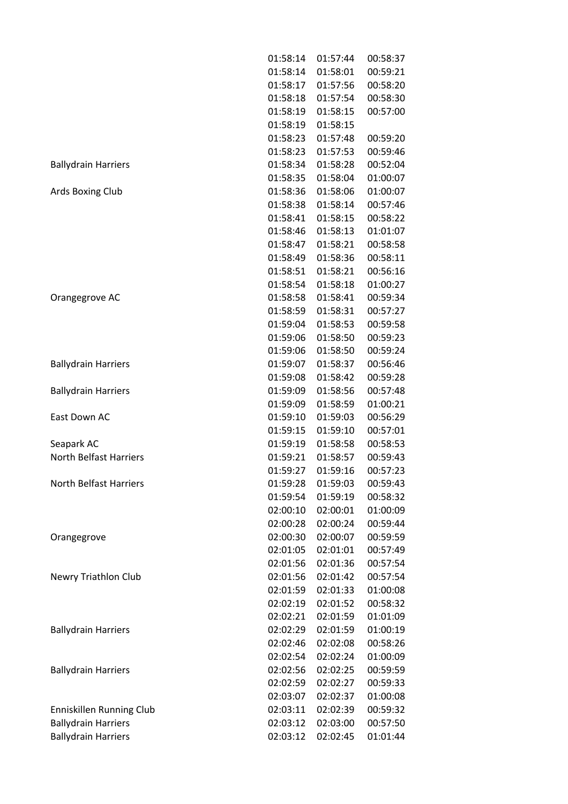|                               | 01:58:14 | 01:57:44 | 00:58:37 |
|-------------------------------|----------|----------|----------|
|                               | 01:58:14 | 01:58:01 | 00:59:21 |
|                               | 01:58:17 | 01:57:56 | 00:58:20 |
|                               | 01:58:18 | 01:57:54 | 00:58:30 |
|                               | 01:58:19 | 01:58:15 | 00:57:00 |
|                               | 01:58:19 | 01:58:15 |          |
|                               | 01:58:23 | 01:57:48 | 00:59:20 |
|                               | 01:58:23 | 01:57:53 | 00:59:46 |
| <b>Ballydrain Harriers</b>    | 01:58:34 | 01:58:28 | 00:52:04 |
|                               | 01:58:35 | 01:58:04 | 01:00:07 |
| Ards Boxing Club              | 01:58:36 | 01:58:06 | 01:00:07 |
|                               | 01:58:38 | 01:58:14 | 00:57:46 |
|                               | 01:58:41 | 01:58:15 | 00:58:22 |
|                               | 01:58:46 | 01:58:13 | 01:01:07 |
|                               | 01:58:47 | 01:58:21 | 00:58:58 |
|                               | 01:58:49 | 01:58:36 | 00:58:11 |
|                               | 01:58:51 | 01:58:21 | 00:56:16 |
|                               | 01:58:54 | 01:58:18 | 01:00:27 |
| Orangegrove AC                | 01:58:58 | 01:58:41 | 00:59:34 |
|                               | 01:58:59 | 01:58:31 | 00:57:27 |
|                               | 01:59:04 | 01:58:53 | 00:59:58 |
|                               | 01:59:06 | 01:58:50 | 00:59:23 |
|                               | 01:59:06 | 01:58:50 | 00:59:24 |
| <b>Ballydrain Harriers</b>    | 01:59:07 | 01:58:37 | 00:56:46 |
|                               | 01:59:08 | 01:58:42 | 00:59:28 |
| <b>Ballydrain Harriers</b>    | 01:59:09 | 01:58:56 | 00:57:48 |
|                               | 01:59:09 | 01:58:59 | 01:00:21 |
| East Down AC                  | 01:59:10 | 01:59:03 | 00:56:29 |
|                               | 01:59:15 | 01:59:10 | 00:57:01 |
| Seapark AC                    | 01:59:19 | 01:58:58 | 00:58:53 |
| <b>North Belfast Harriers</b> | 01:59:21 | 01:58:57 | 00:59:43 |
|                               | 01:59:27 | 01:59:16 | 00:57:23 |
| <b>North Belfast Harriers</b> | 01:59:28 | 01:59:03 | 00:59:43 |
|                               | 01:59:54 | 01:59:19 | 00:58:32 |
|                               | 02:00:10 | 02:00:01 | 01:00:09 |
|                               | 02:00:28 | 02:00:24 | 00:59:44 |
| Orangegrove                   | 02:00:30 | 02:00:07 | 00:59:59 |
|                               | 02:01:05 | 02:01:01 | 00:57:49 |
|                               | 02:01:56 | 02:01:36 | 00:57:54 |
| Newry Triathlon Club          | 02:01:56 | 02:01:42 | 00:57:54 |
|                               | 02:01:59 | 02:01:33 | 01:00:08 |
|                               | 02:02:19 | 02:01:52 | 00:58:32 |
|                               | 02:02:21 | 02:01:59 | 01:01:09 |
| <b>Ballydrain Harriers</b>    | 02:02:29 | 02:01:59 | 01:00:19 |
|                               | 02:02:46 | 02:02:08 | 00:58:26 |
|                               | 02:02:54 | 02:02:24 | 01:00:09 |
|                               |          |          | 00:59:59 |
| <b>Ballydrain Harriers</b>    | 02:02:56 | 02:02:25 |          |
|                               | 02:02:59 | 02:02:27 | 00:59:33 |
|                               | 02:03:07 | 02:02:37 | 01:00:08 |
| Enniskillen Running Club      | 02:03:11 | 02:02:39 | 00:59:32 |
| <b>Ballydrain Harriers</b>    | 02:03:12 | 02:03:00 | 00:57:50 |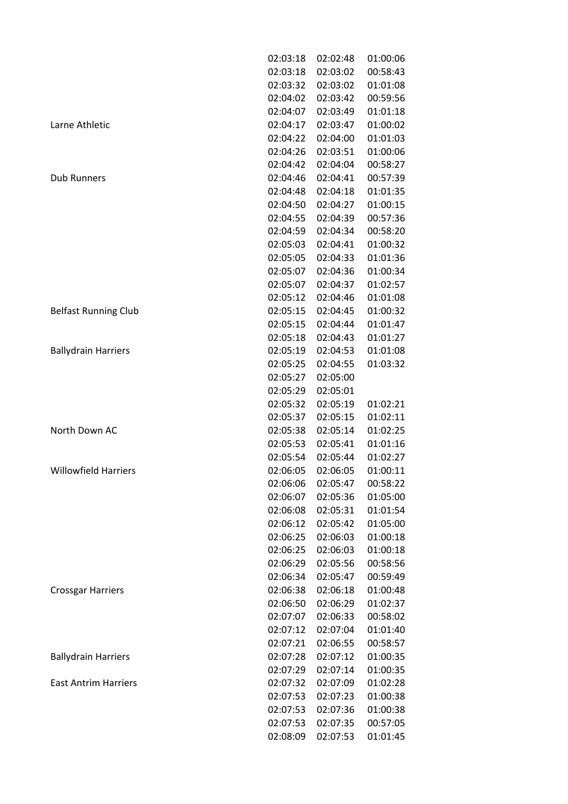|                             | 02:03:18 | 02:02:48 | 01:00:06 |
|-----------------------------|----------|----------|----------|
|                             | 02:03:18 | 02:03:02 | 00:58:43 |
|                             | 02:03:32 | 02:03:02 | 01:01:08 |
|                             | 02:04:02 | 02:03:42 | 00:59:56 |
|                             | 02:04:07 | 02:03:49 | 01:01:18 |
| Larne Athletic              | 02:04:17 | 02:03:47 | 01:00:02 |
|                             | 02:04:22 | 02:04:00 | 01:01:03 |
|                             | 02:04:26 | 02:03:51 | 01:00:06 |
|                             | 02:04:42 | 02:04:04 | 00:58:27 |
| <b>Dub Runners</b>          | 02:04:46 | 02:04:41 | 00:57:39 |
|                             | 02:04:48 | 02:04:18 | 01:01:35 |
|                             | 02:04:50 | 02:04:27 | 01:00:15 |
|                             | 02:04:55 | 02:04:39 | 00:57:36 |
|                             | 02:04:59 | 02:04:34 | 00:58:20 |
|                             | 02:05:03 | 02:04:41 | 01:00:32 |
|                             | 02:05:05 | 02:04:33 | 01:01:36 |
|                             | 02:05:07 | 02:04:36 | 01:00:34 |
|                             | 02:05:07 | 02:04:37 | 01:02:57 |
|                             | 02:05:12 | 02:04:46 | 01:01:08 |
| <b>Belfast Running Club</b> | 02:05:15 | 02:04:45 | 01:00:32 |
|                             | 02:05:15 | 02:04:44 | 01:01:47 |
|                             | 02:05:18 | 02:04:43 | 01:01:27 |
| <b>Ballydrain Harriers</b>  | 02:05:19 | 02:04:53 | 01:01:08 |
|                             | 02:05:25 | 02:04:55 | 01:03:32 |
|                             | 02:05:27 | 02:05:00 |          |
|                             | 02:05:29 | 02:05:01 |          |
|                             | 02:05:32 | 02:05:19 | 01:02:21 |
|                             | 02:05:37 | 02:05:15 | 01:02:11 |
| North Down AC               | 02:05:38 | 02:05:14 | 01:02:25 |
|                             | 02:05:53 | 02:05:41 | 01:01:16 |
|                             | 02:05:54 | 02:05:44 | 01:02:27 |
| <b>Willowfield Harriers</b> | 02:06:05 | 02:06:05 | 01:00:11 |
|                             | 02:06:06 | 02:05:47 | 00:58:22 |
|                             | 02:06:07 | 02:05:36 | 01:05:00 |
|                             | 02:06:08 | 02:05:31 | 01:01:54 |
|                             | 02:06:12 | 02:05:42 | 01:05:00 |
|                             | 02:06:25 | 02:06:03 | 01:00:18 |
|                             | 02:06:25 | 02:06:03 | 01:00:18 |
|                             | 02:06:29 | 02:05:56 | 00:58:56 |
|                             | 02:06:34 | 02:05:47 | 00:59:49 |
| <b>Crossgar Harriers</b>    | 02:06:38 | 02:06:18 | 01:00:48 |
|                             | 02:06:50 | 02:06:29 | 01:02:37 |
|                             | 02:07:07 | 02:06:33 | 00:58:02 |
|                             | 02:07:12 | 02:07:04 | 01:01:40 |
|                             | 02:07:21 | 02:06:55 | 00:58:57 |
| <b>Ballydrain Harriers</b>  | 02:07:28 | 02:07:12 | 01:00:35 |
|                             | 02:07:29 | 02:07:14 | 01:00:35 |
| <b>East Antrim Harriers</b> | 02:07:32 | 02:07:09 | 01:02:28 |
|                             | 02:07:53 | 02:07:23 | 01:00:38 |
|                             | 02:07:53 | 02:07:36 | 01:00:38 |
|                             | 02:07:53 | 02:07:35 | 00:57:05 |
|                             | 02:08:09 | 02:07:53 | 01:01:45 |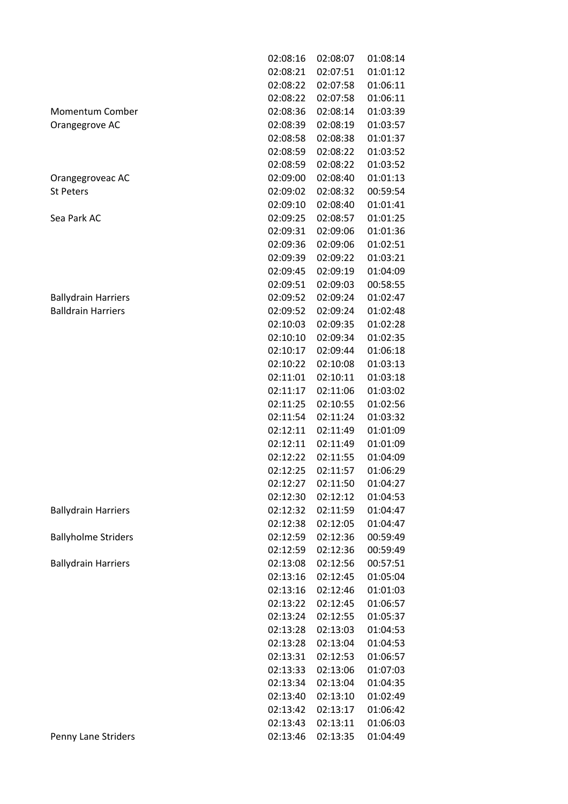|                            | 02:08:16 | 02:08:07 | 01:08:14 |
|----------------------------|----------|----------|----------|
|                            | 02:08:21 | 02:07:51 | 01:01:12 |
|                            | 02:08:22 | 02:07:58 | 01:06:11 |
|                            | 02:08:22 | 02:07:58 | 01:06:11 |
| Momentum Comber            | 02:08:36 | 02:08:14 | 01:03:39 |
| Orangegrove AC             | 02:08:39 | 02:08:19 | 01:03:57 |
|                            | 02:08:58 | 02:08:38 | 01:01:37 |
|                            | 02:08:59 | 02:08:22 | 01:03:52 |
|                            | 02:08:59 | 02:08:22 | 01:03:52 |
| Orangegroveac AC           | 02:09:00 | 02:08:40 | 01:01:13 |
| <b>St Peters</b>           | 02:09:02 | 02:08:32 | 00:59:54 |
|                            | 02:09:10 | 02:08:40 | 01:01:41 |
| Sea Park AC                | 02:09:25 | 02:08:57 | 01:01:25 |
|                            | 02:09:31 | 02:09:06 | 01:01:36 |
|                            | 02:09:36 | 02:09:06 | 01:02:51 |
|                            | 02:09:39 | 02:09:22 | 01:03:21 |
|                            | 02:09:45 | 02:09:19 | 01:04:09 |
|                            | 02:09:51 | 02:09:03 | 00:58:55 |
| <b>Ballydrain Harriers</b> | 02:09:52 | 02:09:24 | 01:02:47 |
| <b>Balldrain Harriers</b>  | 02:09:52 | 02:09:24 | 01:02:48 |
|                            | 02:10:03 | 02:09:35 | 01:02:28 |
|                            | 02:10:10 | 02:09:34 | 01:02:35 |
|                            | 02:10:17 | 02:09:44 | 01:06:18 |
|                            | 02:10:22 | 02:10:08 | 01:03:13 |
|                            | 02:11:01 | 02:10:11 | 01:03:18 |
|                            | 02:11:17 | 02:11:06 | 01:03:02 |
|                            | 02:11:25 | 02:10:55 | 01:02:56 |
|                            | 02:11:54 | 02:11:24 | 01:03:32 |
|                            | 02:12:11 | 02:11:49 | 01:01:09 |
|                            | 02:12:11 | 02:11:49 | 01:01:09 |
|                            | 02:12:22 | 02:11:55 | 01:04:09 |
|                            | 02:12:25 | 02:11:57 | 01:06:29 |
|                            | 02:12:27 | 02:11:50 | 01:04:27 |
|                            | 02:12:30 | 02:12:12 | 01:04:53 |
| <b>Ballydrain Harriers</b> | 02:12:32 | 02:11:59 | 01:04:47 |
|                            | 02:12:38 | 02:12:05 | 01:04:47 |
| <b>Ballyholme Striders</b> | 02:12:59 | 02:12:36 | 00:59:49 |
|                            | 02:12:59 | 02:12:36 | 00:59:49 |
| <b>Ballydrain Harriers</b> | 02:13:08 | 02:12:56 | 00:57:51 |
|                            | 02:13:16 | 02:12:45 | 01:05:04 |
|                            | 02:13:16 | 02:12:46 | 01:01:03 |
|                            | 02:13:22 | 02:12:45 | 01:06:57 |
|                            | 02:13:24 | 02:12:55 | 01:05:37 |
|                            | 02:13:28 | 02:13:03 | 01:04:53 |
|                            | 02:13:28 | 02:13:04 | 01:04:53 |
|                            | 02:13:31 | 02:12:53 | 01:06:57 |
|                            | 02:13:33 | 02:13:06 | 01:07:03 |
|                            | 02:13:34 | 02:13:04 | 01:04:35 |
|                            | 02:13:40 | 02:13:10 | 01:02:49 |
|                            | 02:13:42 | 02:13:17 | 01:06:42 |
|                            | 02:13:43 | 02:13:11 | 01:06:03 |
| Penny Lane Striders        | 02:13:46 | 02:13:35 | 01:04:49 |
|                            |          |          |          |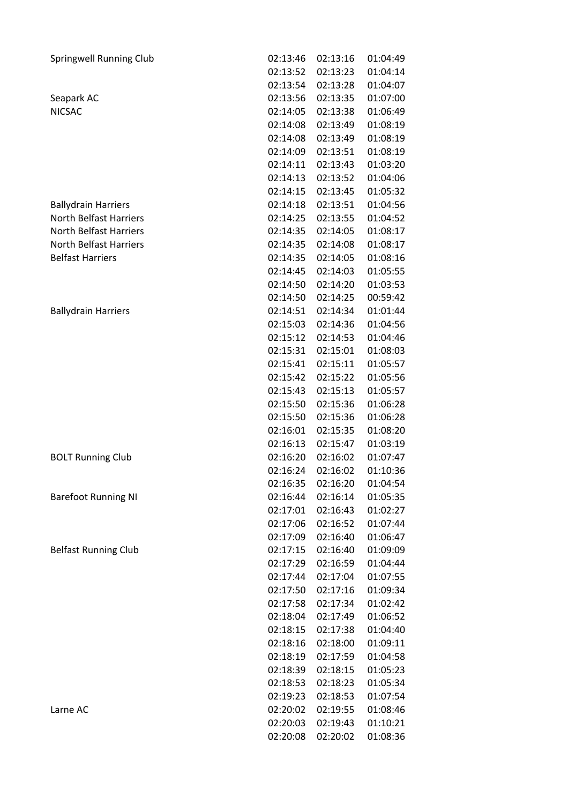| <b>Springwell Running Club</b> | 02:13:46 | 02:13:16 | 01:04:49 |
|--------------------------------|----------|----------|----------|
|                                | 02:13:52 | 02:13:23 | 01:04:14 |
|                                | 02:13:54 | 02:13:28 | 01:04:07 |
| Seapark AC                     | 02:13:56 | 02:13:35 | 01:07:00 |
| <b>NICSAC</b>                  | 02:14:05 | 02:13:38 | 01:06:49 |
|                                | 02:14:08 | 02:13:49 | 01:08:19 |
|                                | 02:14:08 | 02:13:49 | 01:08:19 |
|                                | 02:14:09 | 02:13:51 | 01:08:19 |
|                                | 02:14:11 | 02:13:43 | 01:03:20 |
|                                | 02:14:13 | 02:13:52 | 01:04:06 |
|                                | 02:14:15 | 02:13:45 | 01:05:32 |
| <b>Ballydrain Harriers</b>     | 02:14:18 | 02:13:51 | 01:04:56 |
| <b>North Belfast Harriers</b>  | 02:14:25 | 02:13:55 | 01:04:52 |
| <b>North Belfast Harriers</b>  | 02:14:35 | 02:14:05 | 01:08:17 |
| North Belfast Harriers         | 02:14:35 | 02:14:08 | 01:08:17 |
| <b>Belfast Harriers</b>        | 02:14:35 | 02:14:05 | 01:08:16 |
|                                | 02:14:45 | 02:14:03 | 01:05:55 |
|                                | 02:14:50 | 02:14:20 | 01:03:53 |
|                                | 02:14:50 | 02:14:25 | 00:59:42 |
| <b>Ballydrain Harriers</b>     | 02:14:51 | 02:14:34 | 01:01:44 |
|                                | 02:15:03 | 02:14:36 | 01:04:56 |
|                                | 02:15:12 | 02:14:53 | 01:04:46 |
|                                | 02:15:31 | 02:15:01 | 01:08:03 |
|                                | 02:15:41 | 02:15:11 | 01:05:57 |
|                                | 02:15:42 | 02:15:22 | 01:05:56 |
|                                | 02:15:43 | 02:15:13 | 01:05:57 |
|                                | 02:15:50 | 02:15:36 | 01:06:28 |
|                                | 02:15:50 | 02:15:36 | 01:06:28 |
|                                | 02:16:01 | 02:15:35 | 01:08:20 |
|                                | 02:16:13 | 02:15:47 | 01:03:19 |
|                                | 02:16:20 | 02:16:02 |          |
| <b>BOLT Running Club</b>       |          |          | 01:07:47 |
|                                | 02:16:24 | 02:16:02 | 01:10:36 |
|                                | 02:16:35 | 02:16:20 | 01:04:54 |
| <b>Barefoot Running NI</b>     | 02:16:44 | 02:16:14 | 01:05:35 |
|                                | 02:17:01 | 02:16:43 | 01:02:27 |
|                                | 02:17:06 | 02:16:52 | 01:07:44 |
|                                | 02:17:09 | 02:16:40 | 01:06:47 |
| <b>Belfast Running Club</b>    | 02:17:15 | 02:16:40 | 01:09:09 |
|                                | 02:17:29 | 02:16:59 | 01:04:44 |
|                                | 02:17:44 | 02:17:04 | 01:07:55 |
|                                | 02:17:50 | 02:17:16 | 01:09:34 |
|                                | 02:17:58 | 02:17:34 | 01:02:42 |
|                                | 02:18:04 | 02:17:49 | 01:06:52 |
|                                | 02:18:15 | 02:17:38 | 01:04:40 |
|                                | 02:18:16 | 02:18:00 | 01:09:11 |
|                                | 02:18:19 | 02:17:59 | 01:04:58 |
|                                | 02:18:39 | 02:18:15 | 01:05:23 |
|                                | 02:18:53 | 02:18:23 | 01:05:34 |
|                                | 02:19:23 | 02:18:53 | 01:07:54 |
| Larne AC                       | 02:20:02 | 02:19:55 | 01:08:46 |
|                                | 02:20:03 | 02:19:43 | 01:10:21 |
|                                | 02:20:08 | 02:20:02 | 01:08:36 |
|                                |          |          |          |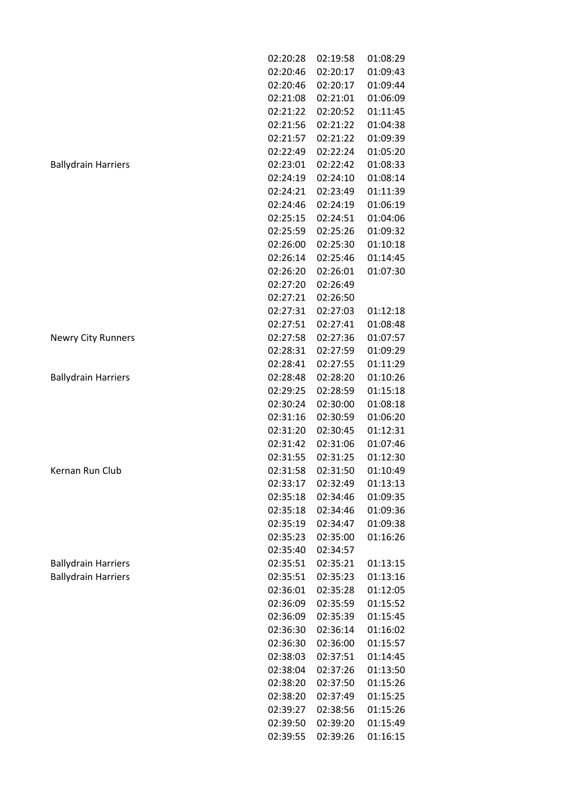|                            | 02:20:28 | 02:19:58 | 01:08:29 |
|----------------------------|----------|----------|----------|
|                            | 02:20:46 | 02:20:17 | 01:09:43 |
|                            | 02:20:46 | 02:20:17 | 01:09:44 |
|                            | 02:21:08 | 02:21:01 | 01:06:09 |
|                            | 02:21:22 | 02:20:52 | 01:11:45 |
|                            | 02:21:56 | 02:21:22 | 01:04:38 |
|                            | 02:21:57 | 02:21:22 | 01:09:39 |
|                            | 02:22:49 | 02:22:24 | 01:05:20 |
| <b>Ballydrain Harriers</b> | 02:23:01 | 02:22:42 | 01:08:33 |
|                            | 02:24:19 | 02:24:10 | 01:08:14 |
|                            | 02:24:21 | 02:23:49 | 01:11:39 |
|                            | 02:24:46 | 02:24:19 | 01:06:19 |
|                            | 02:25:15 | 02:24:51 | 01:04:06 |
|                            | 02:25:59 | 02:25:26 | 01:09:32 |
|                            | 02:26:00 | 02:25:30 | 01:10:18 |
|                            | 02:26:14 | 02:25:46 | 01:14:45 |
|                            | 02:26:20 | 02:26:01 | 01:07:30 |
|                            | 02:27:20 | 02:26:49 |          |
|                            | 02:27:21 | 02:26:50 |          |
|                            | 02:27:31 | 02:27:03 | 01:12:18 |
|                            | 02:27:51 | 02:27:41 | 01:08:48 |
| <b>Newry City Runners</b>  | 02:27:58 | 02:27:36 | 01:07:57 |
|                            | 02:28:31 | 02:27:59 | 01:09:29 |
|                            | 02:28:41 | 02:27:55 | 01:11:29 |
| <b>Ballydrain Harriers</b> | 02:28:48 | 02:28:20 | 01:10:26 |
|                            | 02:29:25 | 02:28:59 | 01:15:18 |
|                            | 02:30:24 | 02:30:00 | 01:08:18 |
|                            | 02:31:16 | 02:30:59 | 01:06:20 |
|                            | 02:31:20 | 02:30:45 | 01:12:31 |
|                            | 02:31:42 | 02:31:06 | 01:07:46 |
|                            | 02:31:55 | 02:31:25 | 01:12:30 |
| Kernan Run Club            | 02:31:58 | 02:31:50 | 01:10:49 |
|                            | 02:33:17 | 02:32:49 | 01:13:13 |
|                            | 02:35:18 | 02:34:46 | 01:09:35 |
|                            | 02:35:18 | 02:34:46 | 01:09:36 |
|                            | 02:35:19 | 02:34:47 | 01:09:38 |
|                            | 02:35:23 | 02:35:00 | 01:16:26 |
|                            | 02:35:40 | 02:34:57 |          |
| <b>Ballydrain Harriers</b> | 02:35:51 | 02:35:21 | 01:13:15 |
| <b>Ballydrain Harriers</b> | 02:35:51 | 02:35:23 | 01:13:16 |
|                            | 02:36:01 | 02:35:28 | 01:12:05 |
|                            | 02:36:09 | 02:35:59 | 01:15:52 |
|                            | 02:36:09 | 02:35:39 | 01:15:45 |
|                            | 02:36:30 | 02:36:14 | 01:16:02 |
|                            | 02:36:30 | 02:36:00 | 01:15:57 |
|                            | 02:38:03 | 02:37:51 | 01:14:45 |
|                            | 02:38:04 | 02:37:26 | 01:13:50 |
|                            | 02:38:20 | 02:37:50 | 01:15:26 |
|                            | 02:38:20 | 02:37:49 | 01:15:25 |
|                            | 02:39:27 | 02:38:56 | 01:15:26 |
|                            | 02:39:50 | 02:39:20 | 01:15:49 |
|                            | 02:39:55 | 02:39:26 | 01:16:15 |
|                            |          |          |          |